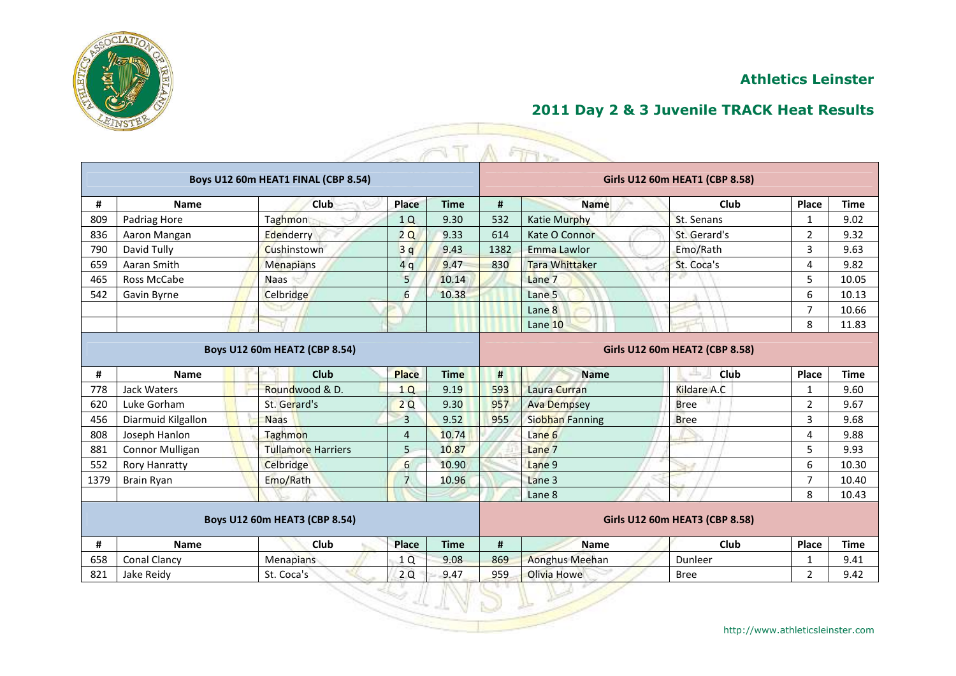

## **2011 Day 2 & 3 Juvenile TRACK Heat Results**

|      |                        |                                      |                | T           |      | A FIFT                 |                                |                |             |
|------|------------------------|--------------------------------------|----------------|-------------|------|------------------------|--------------------------------|----------------|-------------|
|      |                        | Boys U12 60m HEAT1 FINAL (CBP 8.54)  |                |             |      |                        | Girls U12 60m HEAT1 (CBP 8.58) |                |             |
| #    | <b>Name</b>            | <b>Club</b>                          | Place          | <b>Time</b> | #    | <b>Name</b>            | <b>Club</b>                    | Place          | <b>Time</b> |
| 809  | Padriag Hore           | <b>Taghmon</b>                       | 1Q             | 9.30        | 532  | <b>Katie Murphy</b>    | St. Senans                     | $\mathbf{1}$   | 9.02        |
| 836  | Aaron Mangan           | Edenderry                            | 2Q             | 9.33        | 614  | Kate O Connor          | St. Gerard's                   | $\overline{2}$ | 9.32        |
| 790  | David Tully            | Cushinstown                          | 3q             | 9.43        | 1382 | Emma Lawlor            | Emo/Rath                       | 3              | 9.63        |
| 659  | Aaran Smith            | <b>Menapians</b>                     | 4q             | 9.47        | 830  | <b>Tara Whittaker</b>  | St. Coca's                     | 4              | 9.82        |
| 465  | Ross McCabe            | <b>Naas</b>                          | 5              | 10.14       |      | Lane 7                 |                                | 5              | 10.05       |
| 542  | Gavin Byrne            | Celbridge                            | 6              | 10.38       |      | Lane 5                 |                                | 6              | 10.13       |
|      |                        |                                      |                |             |      | Lane 8                 |                                | $\overline{7}$ | 10.66       |
|      |                        |                                      |                |             |      | Lane 10                |                                | 8              | 11.83       |
|      |                        | <b>Boys U12 60m HEAT2 (CBP 8.54)</b> |                |             |      |                        | Girls U12 60m HEAT2 (CBP 8.58) |                |             |
| #    | <b>Name</b>            | Club                                 | <b>Place</b>   | <b>Time</b> | #    | <b>Name</b>            | 法定<br>Club                     | Place          | <b>Time</b> |
| 778  | Jack Waters            | Roundwood & D.                       | 1Q             | 9.19        | 593  | Laura Curran           | <b>Kildare A.C</b>             | 1              | 9.60        |
| 620  | Luke Gorham            | St. Gerard's                         | 2Q             | 9.30        | 957  | <b>Ava Dempsey</b>     | <b>Bree</b>                    | $\overline{2}$ | 9.67        |
| 456  | Diarmuid Kilgallon     | <b>Naas</b>                          | $\overline{3}$ | 9.52        | 955  | <b>Siobhan Fanning</b> | <b>Bree</b>                    | 3              | 9.68        |
| 808  | Joseph Hanlon          | Taghmon                              | 4              | 10.74       |      | Lane 6                 |                                | 4              | 9.88        |
| 881  | <b>Connor Mulligan</b> | <b>Tullamore Harriers</b>            | 5              | 10.87       |      | Lane 7                 |                                | 5              | 9.93        |
| 552  | <b>Rory Hanratty</b>   | Celbridge                            | 6              | 10.90       |      | Lane 9                 |                                | 6              | 10.30       |
| 1379 | <b>Brain Ryan</b>      | Emo/Rath                             | $\overline{7}$ | 10.96       |      | Lane 3                 |                                | $\overline{7}$ | 10.40       |
|      |                        |                                      |                |             |      | Lane 8                 |                                | 8              | 10.43       |
|      |                        | Boys U12 60m HEAT3 (CBP 8.54)        |                |             |      |                        | Girls U12 60m HEAT3 (CBP 8.58) |                |             |
| #    | <b>Name</b>            | Club                                 | <b>Place</b>   | <b>Time</b> | #    | <b>Name</b>            | Club                           | Place          | <b>Time</b> |
| 658  | <b>Conal Clancy</b>    | Menapians                            | 1Q             | 9.08        | 869  | <b>Aonghus Meehan</b>  | Dunleer                        | 1              | 9.41        |
| 821  | Jake Reidy             | St. Coca's                           | 2Q             | 9.47        | 959  | Olivia Howe            | <b>Bree</b>                    | $\overline{2}$ | 9.42        |
|      |                        |                                      |                |             |      |                        |                                |                |             |

Z,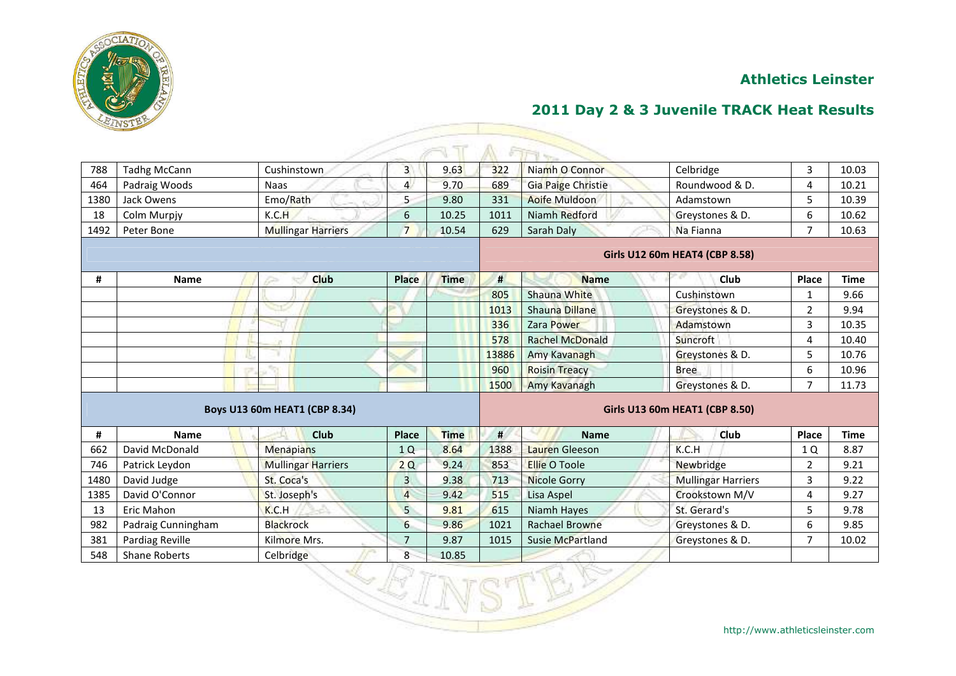

| 788  | <b>Tadhg McCann</b>  | Cushinstown                   | $\overline{3}$          | 9.63        | 322   | Niamh O Connor            | Celbridge                      | $\overline{3}$          | 10.03       |
|------|----------------------|-------------------------------|-------------------------|-------------|-------|---------------------------|--------------------------------|-------------------------|-------------|
| 464  | Padraig Woods        | Naas                          | $\overline{4}$          | 9.70        | 689   | <b>Gia Paige Christie</b> | Roundwood & D.                 | 4                       | 10.21       |
| 1380 | Jack Owens           | Emo/Rath                      | 5                       | 9.80        | 331   | <b>Aoife Muldoon</b>      | Adamstown                      | 5                       | 10.39       |
| 18   | Colm Murpjy          | K.C.H                         | $6\phantom{1}6$         | 10.25       | 1011  | Niamh Redford             | Greystones & D.                | 6                       | 10.62       |
| 1492 | Peter Bone           | <b>Mullingar Harriers</b>     | $\overline{7}$          | 10.54       | 629   | Sarah Daly                | Na Fianna                      | $\overline{7}$          | 10.63       |
|      |                      |                               |                         |             |       |                           | Girls U12 60m HEAT4 (CBP 8.58) |                         |             |
| #    | <b>Name</b>          | Club                          | Place                   | <b>Time</b> | #     | <b>Name</b>               | Club                           | Place                   | <b>Time</b> |
|      |                      |                               |                         |             | 805   | Shauna White              | Cushinstown                    | 1                       | 9.66        |
|      |                      |                               |                         |             | 1013  | Shauna Dillane            | Greystones & D.                | $\overline{2}$          | 9.94        |
|      |                      |                               |                         |             | 336   | Zara Power                | Adamstown                      | $\overline{\mathbf{3}}$ | 10.35       |
|      |                      |                               |                         |             | 578   | <b>Rachel McDonald</b>    | Suncroft                       | 4                       | 10.40       |
|      |                      |                               |                         |             | 13886 | Amy Kavanagh              | Greystones & D.                | 5                       | 10.76       |
|      |                      |                               |                         |             | 960   | <b>Roisin Treacy</b>      | <b>Bree</b>                    | 6                       | 10.96       |
|      |                      |                               |                         |             | 1500  | Amy Kavanagh              | Greystones & D.                | $\overline{7}$          | 11.73       |
|      |                      | Boys U13 60m HEAT1 (CBP 8.34) |                         |             |       |                           | Girls U13 60m HEAT1 (CBP 8.50) |                         |             |
| #    | <b>Name</b>          | Club                          | Place                   | <b>Time</b> | $\#$  | <b>Name</b>               | Club                           | Place                   | <b>Time</b> |
| 662  | David McDonald       | <b>Menapians</b>              | 1Q                      | 8.64        | 1388  | Lauren Gleeson            | K.C.H                          | 1 Q                     | 8.87        |
| 746  | Patrick Leydon       | <b>Mullingar Harriers</b>     | 2Q                      | 9.24        | 853   | <b>Ellie O Toole</b>      | Newbridge                      | $\overline{2}$          | 9.21        |
| 1480 | David Judge          | St. Coca's                    | $\overline{\mathbf{3}}$ | 9.38        | 713   | <b>Nicole Gorry</b>       | <b>Mullingar Harriers</b>      | $\overline{3}$          | 9.22        |
| 1385 | David O'Connor       | St. Joseph's                  | $\overline{4}$          | 9.42        | 515   | Lisa Aspel                | Crookstown M/V                 | 4                       | 9.27        |
| 13   | Eric Mahon           | K.C.H                         | 5                       | 9.81        | 615   | Niamh Hayes               | St. Gerard's                   | 5                       | 9.78        |
| 982  | Padraig Cunningham   | <b>Blackrock</b>              | $6\phantom{a}$          | 9.86        | 1021  | <b>Rachael Browne</b>     | Greystones & D.                | 6                       | 9.85        |
| 381  | Pardiag Reville      | Kilmore Mrs.                  | $\overline{7}$          | 9.87        | 1015  | <b>Susie McPartland</b>   | Greystones & D.                | $\overline{7}$          | 10.02       |
| 548  | <b>Shane Roberts</b> | Celbridge                     | 8                       | 10.85       |       |                           |                                |                         |             |
|      |                      | 冬悠儿!                          |                         |             |       |                           |                                |                         |             |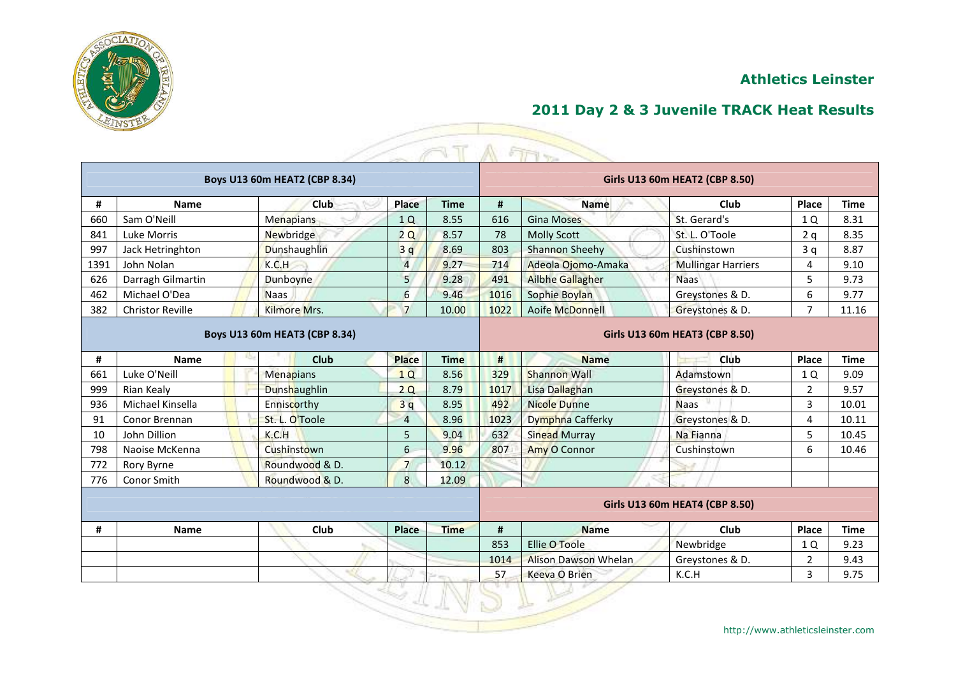



|      |                         | Boys U13 60m HEAT2 (CBP 8.34) |                |             |      |                             | Girls U13 60m HEAT2 (CBP 8.50) |                |             |
|------|-------------------------|-------------------------------|----------------|-------------|------|-----------------------------|--------------------------------|----------------|-------------|
| #    | <b>Name</b>             | <b>Club</b>                   | Place          | <b>Time</b> | #    | <b>Name</b>                 | Club                           | Place          | <b>Time</b> |
| 660  | Sam O'Neill             | <b>Menapians</b>              | 1Q             | 8.55        | 616  | <b>Gina Moses</b>           | St. Gerard's                   | 1 Q            | 8.31        |
| 841  | Luke Morris             | <b>Newbridge</b>              | 2Q             | 8.57        | 78   | <b>Molly Scott</b>          | St. L. O'Toole                 | 2q             | 8.35        |
| 997  | Jack Hetringhton        | <b>Dunshaughlin</b>           | 3q             | 8.69        | 803  | <b>Shannon Sheehy</b>       | Cushinstown                    | 3 <sub>q</sub> | 8.87        |
| 1391 | John Nolan              | K.C.H                         | $\overline{4}$ | 9.27        | 714  | Adeola Ojomo-Amaka          | <b>Mullingar Harriers</b>      | 4              | 9.10        |
| 626  | Darragh Gilmartin       | Dunboyne                      | 5              | 9.28        | 491  | <b>Ailbhe Gallagher</b>     | <b>Naas</b>                    | 5              | 9.73        |
| 462  | Michael O'Dea           | <b>Naas</b>                   | 6              | 9.46        | 1016 | Sophie Boylan               | Greystones & D.                | 6              | 9.77        |
| 382  | <b>Christor Reville</b> | Kilmore Mrs.                  | $\overline{7}$ | 10.00       | 1022 | Aoife McDonnell             | Greystones & D.                | $\overline{7}$ | 11.16       |
|      |                         | Boys U13 60m HEAT3 (CBP 8.34) |                |             |      |                             | Girls U13 60m HEAT3 (CBP 8.50) |                |             |
| #    | <b>Name</b>             | Club                          | <b>Place</b>   | <b>Time</b> | #    | <b>Name</b>                 | <b>Club</b>                    | Place          | <b>Time</b> |
| 661  | Luke O'Neill            | Menapians                     | 1Q             | 8.56        | 329  | <b>Shannon Wall</b>         | Adamstown                      | 1 Q            | 9.09        |
| 999  | Rian Kealy              | Dunshaughlin                  | 2Q             | 8.79        | 1017 | Lisa Dallaghan              | Greystones & D.                | $\overline{2}$ | 9.57        |
| 936  | Michael Kinsella        | Enniscorthy                   | 3q             | 8.95        | 492  | <b>Nicole Dunne</b>         | <b>Naas</b>                    | $\overline{3}$ | 10.01       |
| 91   | Conor Brennan           | St. L. O'Toole                | $\overline{4}$ | 8.96        | 1023 | Dymphna Cafferky            | Greystones & D.                | 4              | 10.11       |
| 10   | John Dillion            | K.C.H                         | 5              | 9.04        | 632  | <b>Sinead Murray</b>        | Na Fianna                      | 5              | 10.45       |
| 798  | Naoise McKenna          | Cushinstown                   | 6              | 9.96        | 807  | Amy O Connor                | Cushinstown                    | 6              | 10.46       |
| 772  | Rory Byrne              | Roundwood & D.                | $\overline{7}$ | 10.12       |      |                             |                                |                |             |
| 776  | Conor Smith             | Roundwood & D.                | 8              | 12.09       |      |                             |                                |                |             |
|      |                         |                               |                |             |      |                             | Girls U13 60m HEAT4 (CBP 8.50) |                |             |
| #    | <b>Name</b>             | Club                          | <b>Place</b>   | <b>Time</b> | #    | <b>Name</b>                 | Club                           | Place          | <b>Time</b> |
|      |                         |                               |                |             | 853  | <b>Ellie O Toole</b>        | Newbridge                      | 1 Q            | 9.23        |
|      |                         |                               |                |             | 1014 | <b>Alison Dawson Whelan</b> | Greystones & D.                | $\overline{2}$ | 9.43        |
|      |                         |                               |                |             | 57   | Keeva O Brien               | K.C.H                          | 3              | 9.75        |

Z,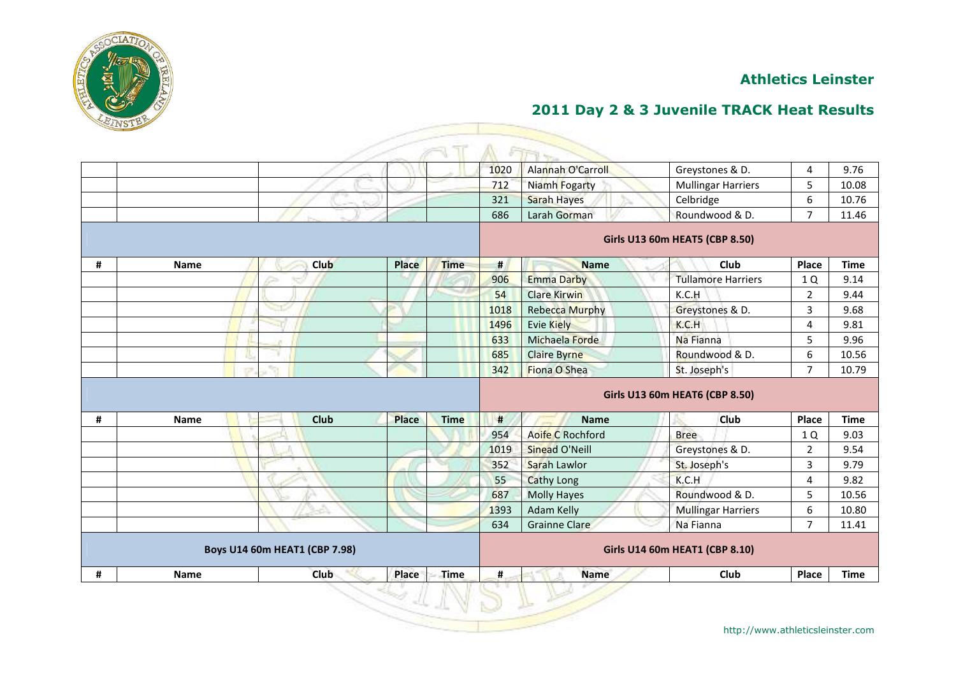

|   |             |                               |              |             | 1020 | <b>Alannah O'Carroll</b> | Greystones & D.                | 4                | 9.76        |
|---|-------------|-------------------------------|--------------|-------------|------|--------------------------|--------------------------------|------------------|-------------|
|   |             |                               |              |             | 712  | Niamh Fogarty            | <b>Mullingar Harriers</b>      | 5                | 10.08       |
|   |             |                               |              |             | 321  | <b>Sarah Hayes</b>       | Celbridge                      | $\boldsymbol{6}$ | 10.76       |
|   |             |                               |              |             | 686  | Larah Gorman             | Roundwood & D.                 | $\overline{7}$   | 11.46       |
|   |             |                               |              |             |      |                          | Girls U13 60m HEAT5 (CBP 8.50) |                  |             |
| # | <b>Name</b> | <b>Club</b>                   | Place        | <b>Time</b> | #    | <b>Name</b>              | Club                           | Place            | <b>Time</b> |
|   |             |                               |              |             | 906  | <b>Emma Darby</b>        | <b>Tullamore Harriers</b>      | 1 Q              | 9.14        |
|   |             |                               |              |             | 54   | <b>Clare Kirwin</b>      | K.C.H                          | $\overline{2}$   | 9.44        |
|   |             |                               |              |             | 1018 | <b>Rebecca Murphy</b>    | Greystones & D.                | $\overline{3}$   | 9.68        |
|   |             |                               |              |             | 1496 | <b>Evie Kiely</b>        | K.C.H                          | 4                | 9.81        |
|   |             |                               |              |             | 633  | Michaela Forde           | Na Fianna                      | 5                | 9.96        |
|   |             |                               |              |             | 685  | <b>Claire Byrne</b>      | Roundwood & D.                 | 6                | 10.56       |
|   |             |                               |              |             | 342  | Fiona O Shea             | St. Joseph's                   | $\overline{7}$   | 10.79       |
|   |             |                               |              |             |      |                          |                                |                  |             |
|   |             |                               |              |             |      |                          | Girls U13 60m HEAT6 (CBP 8.50) |                  |             |
| # | Name        | <b>Club</b>                   | <b>Place</b> | <b>Time</b> | #    | <b>Name</b>              | <b>Club</b>                    | Place            | <b>Time</b> |
|   |             |                               |              |             | 954  | Aoife C Rochford         | <b>Bree</b>                    | 1 Q              | 9.03        |
|   |             |                               |              |             | 1019 | Sinead O'Neill           | Greystones & D.                | $\overline{2}$   | 9.54        |
|   |             |                               |              |             | 352  | Sarah Lawlor             | St. Joseph's                   | $\overline{3}$   | 9.79        |
|   |             |                               |              |             | 55   | <b>Cathy Long</b>        | K.C.H                          | 4                | 9.82        |
|   |             |                               |              |             | 687  | <b>Molly Hayes</b>       | Roundwood & D.                 | 5                | 10.56       |
|   |             |                               |              |             | 1393 | Adam Kelly               | <b>Mullingar Harriers</b>      | 6                | 10.80       |
|   |             |                               |              |             | 634  | <b>Grainne Clare</b>     | Na Fianna                      | $\overline{7}$   | 11.41       |
|   |             | Boys U14 60m HEAT1 (CBP 7.98) |              |             |      |                          | Girls U14 60m HEAT1 (CBP 8.10) |                  |             |
| # | <b>Name</b> | Club                          | Place        | <b>Time</b> | #    | <b>Name</b>              | Club                           | Place            | <b>Time</b> |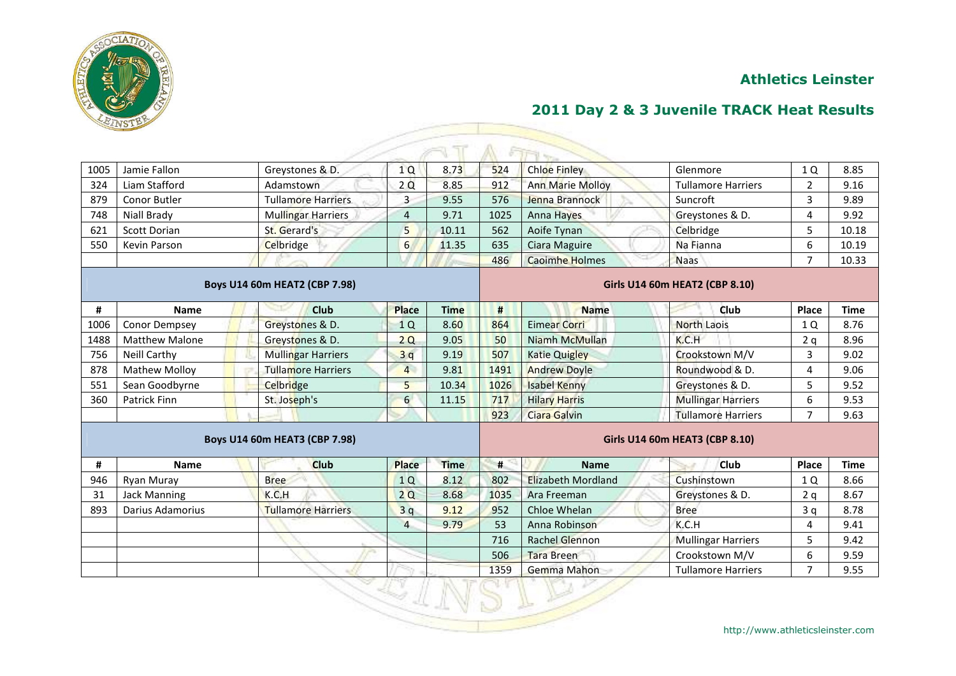

| 1005 | Jamie Fallon          | Greystones & D.               | 1Q              | 8.73        | 524  | <b>Chloe Finley</b>       | Glenmore                              | 1 Q            | 8.85        |
|------|-----------------------|-------------------------------|-----------------|-------------|------|---------------------------|---------------------------------------|----------------|-------------|
| 324  | Liam Stafford         | Adamstown                     | 2Q              | 8.85        | 912  | <b>Ann Marie Molloy</b>   | <b>Tullamore Harriers</b>             | $\overline{2}$ | 9.16        |
| 879  | Conor Butler          | <b>Tullamore Harriers</b>     | 3               | 9.55        | 576  | Jenna Brannock            | Suncroft                              | 3              | 9.89        |
| 748  | <b>Niall Brady</b>    | <b>Mullingar Harriers</b>     | $\overline{4}$  | 9.71        | 1025 | <b>Anna Hayes</b>         | Greystones & D.                       | 4              | 9.92        |
| 621  | <b>Scott Dorian</b>   | St. Gerard's                  | 5               | 10.11       | 562  | Aoife Tynan               | Celbridge                             | 5              | 10.18       |
| 550  | Kevin Parson          | Celbridge                     | $6\overline{6}$ | 11.35       | 635  | Ciara Maguire             | Na Fianna                             | 6              | 10.19       |
|      |                       |                               |                 |             | 486  | <b>Caoimhe Holmes</b>     | <b>Naas</b>                           | $\overline{7}$ | 10.33       |
|      |                       | Boys U14 60m HEAT2 (CBP 7.98) |                 |             |      |                           | <b>Girls U14 60m HEAT2 (CBP 8.10)</b> |                |             |
| #    | <b>Name</b>           | <b>Club</b>                   | <b>Place</b>    | <b>Time</b> | #    | <b>Name</b>               | Club                                  | Place          | <b>Time</b> |
| 1006 | <b>Conor Dempsey</b>  | Greystones & D.               | 1Q              | 8.60        | 864  | <b>Eimear Corri</b>       | <b>North Laois</b>                    | 1 Q            | 8.76        |
| 1488 | <b>Matthew Malone</b> | Greystones & D.               | 2Q              | 9.05        | 50   | Niamh McMullan            | K.C.H                                 | 2q             | 8.96        |
| 756  | <b>Neill Carthy</b>   | <b>Mullingar Harriers</b>     | 3q              | 9.19        | 507  | <b>Katie Quigley</b>      | Crookstown M/V                        | 3              | 9.02        |
| 878  | <b>Mathew Molloy</b>  | <b>Tullamore Harriers</b>     | $\overline{4}$  | 9.81        | 1491 | <b>Andrew Doyle</b>       | Roundwood & D.                        | 4              | 9.06        |
| 551  | Sean Goodbyrne        | <b>Celbridge</b>              | 5               | 10.34       | 1026 | <b>Isabel Kenny</b>       | Greystones & D.                       | 5              | 9.52        |
| 360  | <b>Patrick Finn</b>   | St. Joseph's                  | 6               | 11.15       | 717  | <b>Hilary Harris</b>      | <b>Mullingar Harriers</b>             | 6              | 9.53        |
|      |                       |                               |                 |             | 923  | <b>Ciara Galvin</b>       | <b>Tullamore Harriers</b>             | $\overline{7}$ | 9.63        |
|      |                       | Boys U14 60m HEAT3 (CBP 7.98) |                 |             |      |                           | Girls U14 60m HEAT3 (CBP 8.10)        |                |             |
| #    | <b>Name</b>           | <b>Club</b>                   | <b>Place</b>    | <b>Time</b> | #    | <b>Name</b>               | <b>Club</b>                           | Place          | <b>Time</b> |
| 946  | Ryan Muray            | <b>Bree</b>                   | 1Q              | 8.12        | 802  | <b>Elizabeth Mordland</b> | Cushinstown                           | 1Q             | 8.66        |
| 31   | <b>Jack Manning</b>   | K.C.H                         | 2Q              | 8.68        | 1035 | Ara Freeman               | Greystones & D.                       | 2q             | 8.67        |
| 893  | Darius Adamorius      | <b>Tullamore Harriers</b>     | 3q              | 9.12        | 952  | Chloe Whelan              | <b>Bree</b>                           | 3q             | 8.78        |
|      |                       |                               | $\overline{4}$  | 9.79        | 53   | Anna Robinson             | K.C.H                                 | 4              | 9.41        |
|      |                       |                               |                 |             | 716  | <b>Rachel Glennon</b>     | <b>Mullingar Harriers</b>             | 5              | 9.42        |
|      |                       |                               |                 |             | 506  | <b>Tara Breen</b>         | Crookstown M/V                        | 6              | 9.59        |
|      |                       |                               |                 |             | 1359 | Gemma Mahon               | <b>Tullamore Harriers</b>             | 7              | 9.55        |
|      |                       |                               |                 |             |      |                           |                                       |                |             |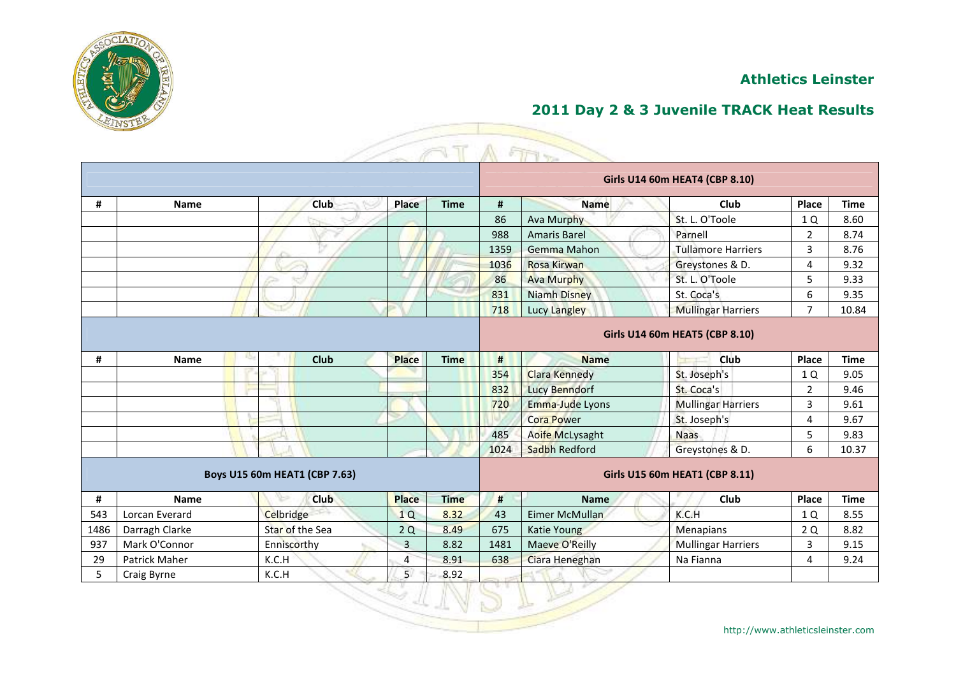



|      |                |                               |                |             |      |                      | Girls U14 60m HEAT4 (CBP 8.10) |                |             |
|------|----------------|-------------------------------|----------------|-------------|------|----------------------|--------------------------------|----------------|-------------|
| #    | <b>Name</b>    | <b>Club</b>                   | Place          | <b>Time</b> | #    | <b>Name</b>          | Club                           | Place          | <b>Time</b> |
|      |                |                               |                |             | 86   | <b>Ava Murphy</b>    | St. L. O'Toole                 | 1Q             | 8.60        |
|      |                |                               |                |             | 988  | <b>Amaris Barel</b>  | Parnell                        | $\overline{2}$ | 8.74        |
|      |                |                               |                |             | 1359 | Gemma Mahon          | <b>Tullamore Harriers</b>      | 3              | 8.76        |
|      |                |                               |                |             | 1036 | <b>Rosa Kirwan</b>   | Greystones & D.                | 4              | 9.32        |
|      |                |                               |                |             | 86   | <b>Ava Murphy</b>    | St. L. O'Toole                 | 5              | 9.33        |
|      |                |                               |                |             | 831  | <b>Niamh Disney</b>  | St. Coca's                     | 6              | 9.35        |
|      |                | مح                            |                |             | 718  | Lucy Langley         | <b>Mullingar Harriers</b>      | $\overline{7}$ | 10.84       |
|      |                |                               |                |             |      |                      | Girls U14 60m HEAT5 (CBP 8.10) |                |             |
| #    | <b>Name</b>    | 15<br>Club                    | <b>Place</b>   | <b>Time</b> | #    | <b>Name</b>          | <b>Club</b>                    | Place          | <b>Time</b> |
|      |                |                               |                |             | 354  | <b>Clara Kennedy</b> | St. Joseph's                   | 1 Q            | 9.05        |
|      |                |                               |                |             | 832  | <b>Lucy Benndorf</b> | St. Coca's                     | $\overline{2}$ | 9.46        |
|      |                |                               |                |             | 720  | Emma-Jude Lyons      | <b>Mullingar Harriers</b>      | 3              | 9.61        |
|      |                |                               |                |             |      | <b>Cora Power</b>    | St. Joseph's                   | $\overline{4}$ | 9.67        |
|      |                |                               |                |             | 485  | Aoife McLysaght      | <b>Naas</b>                    | 5              | 9.83        |
|      |                |                               |                |             | 1024 | Sadbh Redford        | Greystones & D.                | 6              | 10.37       |
|      |                | Boys U15 60m HEAT1 (CBP 7.63) |                |             |      |                      | Girls U15 60m HEAT1 (CBP 8.11) |                |             |
| #    | <b>Name</b>    | ∿<br><b>Club</b>              | <b>Place</b>   | <b>Time</b> | #    | <b>Name</b>          | Club                           | Place          | <b>Time</b> |
| 543  | Lorcan Everard | Celbridge                     | 1Q             | 8.32        | 43   | Eimer McMullan       | K.C.H                          | 1Q             | 8.55        |
| 1486 | Darragh Clarke | Star of the Sea               | 2Q             | 8.49        | 675  | Katie Young          | Menapians                      | 2Q             | 8.82        |
| 937  | Mark O'Connor  | Enniscorthy                   | $\overline{3}$ | 8.82        | 1481 | Maeve O'Reilly       | <b>Mullingar Harriers</b>      | 3              | 9.15        |
| 29   | Patrick Maher  | K.C.H                         | 4              | 8.91        | 638  | Ciara Heneghan       | Na Fianna                      | 4              | 9.24        |
| 5    | Craig Byrne    | K.C.H                         | 5 <sup>1</sup> | 8.92        |      |                      |                                |                |             |

Z,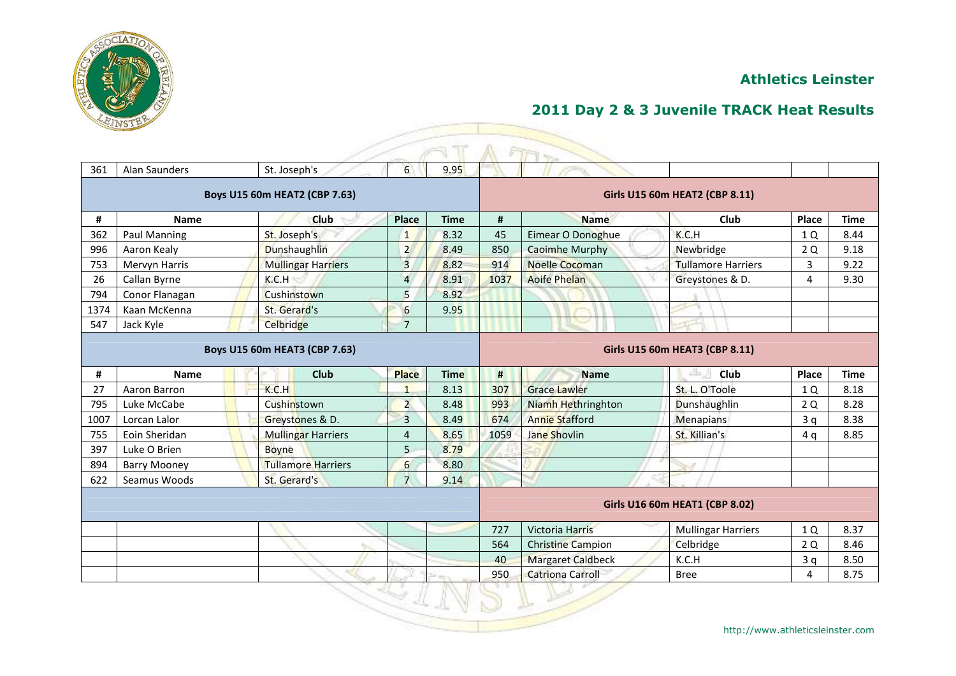

|      |                     |                               |                         |             |      | 行业的                      |                                       |       |             |
|------|---------------------|-------------------------------|-------------------------|-------------|------|--------------------------|---------------------------------------|-------|-------------|
| 361  | Alan Saunders       | St. Joseph's                  | $6 \overline{6}$        | 9.95        |      |                          |                                       |       |             |
|      |                     | Boys U15 60m HEAT2 (CBP 7.63) |                         |             |      |                          | Girls U15 60m HEAT2 (CBP 8.11)        |       |             |
| #    | <b>Name</b>         | <b>Club</b>                   | Place                   | <b>Time</b> | #    | <b>Name</b>              | Club                                  | Place | <b>Time</b> |
| 362  | Paul Manning        | St. Joseph's                  | $\mathbf{1}$            | 8.32        | 45   | Eimear O Donoghue        | K.C.H                                 | 1Q    | 8.44        |
| 996  | Aaron Kealy         | Dunshaughlin                  | $\overline{2}$          | 8.49        | 850  | <b>Caoimhe Murphy</b>    | Newbridge                             | 2 Q   | 9.18        |
| 753  | Mervyn Harris       | <b>Mullingar Harriers</b>     | $\overline{\mathbf{3}}$ | 8.82        | 914  | <b>Noelle Cocoman</b>    | Tullamore Harriers                    | 3     | 9.22        |
| 26   | Callan Byrne        | K.C.H                         | $\overline{4}$          | 8.91        | 1037 | <b>Aoife Phelan</b>      | Greystones & D.                       | 4     | 9.30        |
| 794  | Conor Flanagan      | Cushinstown                   | 5                       | 8.92        |      |                          |                                       |       |             |
| 1374 | Kaan McKenna        | St. Gerard's                  | $6\phantom{.}6$         | 9.95        |      |                          |                                       |       |             |
| 547  | Jack Kyle           | Celbridge                     | $\overline{7}$          |             |      |                          |                                       |       |             |
|      |                     | Boys U15 60m HEAT3 (CBP 7.63) |                         |             |      |                          | Girls U15 60m HEAT3 (CBP 8.11)        |       |             |
| #    | <b>Name</b>         | Club                          | <b>Place</b>            | <b>Time</b> | #    | <b>Name</b>              | 出口<br>Club                            | Place | <b>Time</b> |
| 27   | Aaron Barron        | K.C.H                         | $\mathbf{1}$            | 8.13        | 307  | <b>Grace Lawler</b>      | St. L. O'Toole                        | 1 Q   | 8.18        |
| 795  | Luke McCabe         | Cushinstown                   | $\overline{a}$          | 8.48        | 993  | Niamh Hethringhton       | Dunshaughlin                          | 2Q    | 8.28        |
| 1007 | Lorcan Lalor        | Greystones & D.               | 3                       | 8.49        | 674  | <b>Annie Stafford</b>    | <b>Menapians</b>                      | 3q    | 8.38        |
| 755  | Eoin Sheridan       | <b>Mullingar Harriers</b>     | $\overline{4}$          | 8.65        | 1059 | Jane Shovlin             | St. Killian's                         | 4 g   | 8.85        |
| 397  | Luke O Brien        | <b>Boyne</b>                  | 5                       | 8.79        |      |                          |                                       |       |             |
| 894  | <b>Barry Mooney</b> | <b>Tullamore Harriers</b>     | $6 \overline{}$         | 8.80        |      |                          |                                       |       |             |
| 622  | Seamus Woods        | St. Gerard's                  | $\overline{7}$          | 9.14        |      |                          |                                       |       |             |
|      |                     |                               |                         |             |      |                          | <b>Girls U16 60m HEAT1 (CBP 8.02)</b> |       |             |
|      |                     |                               |                         |             | 727  | <b>Victoria Harris</b>   | <b>Mullingar Harriers</b>             | 1 Q   | 8.37        |
|      |                     |                               |                         |             | 564  | <b>Christine Campion</b> | Celbridge                             | 2 Q   | 8.46        |
|      |                     |                               |                         |             | 40   | <b>Margaret Caldbeck</b> | K.C.H                                 | 3q    | 8.50        |
|      |                     |                               |                         |             | 950  | <b>Catriona Carroll</b>  | <b>Bree</b>                           | 4     | 8.75        |
|      |                     |                               |                         |             |      |                          |                                       |       |             |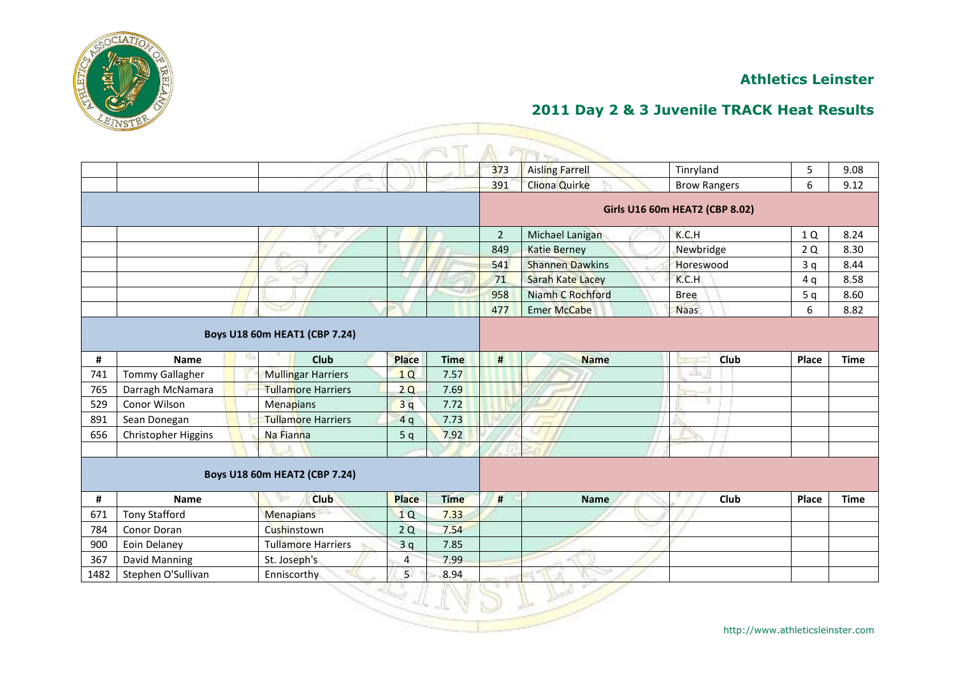

## **2011 Day 2 & 3 Juvenile TRACK Heat Results**

|      |                        |                               |                |             |                | ET <sub>2</sub>         |                                |       |             |
|------|------------------------|-------------------------------|----------------|-------------|----------------|-------------------------|--------------------------------|-------|-------------|
|      |                        |                               |                |             | 373            | <b>Aisling Farrell</b>  | Tinryland                      | 5     | 9.08        |
|      |                        |                               |                |             | 391            | <b>Cliona Quirke</b>    | <b>Brow Rangers</b>            | 6     | 9.12        |
|      |                        |                               |                |             |                |                         | Girls U16 60m HEAT2 (CBP 8.02) |       |             |
|      |                        |                               |                |             | $\overline{2}$ | Michael Lanigan         | K.C.H                          | 1 Q   | 8.24        |
|      |                        |                               |                |             | 849            | Katie Berney            | Newbridge                      | 2Q    | 8.30        |
|      |                        |                               |                |             | 541            | <b>Shannen Dawkins</b>  | Horeswood                      | 3q    | 8.44        |
|      |                        |                               |                |             | 71             | <b>Sarah Kate Lacey</b> | K.C.H                          | 4q    | 8.58        |
|      |                        |                               |                |             | 958            | Niamh C Rochford        | <b>Bree</b>                    | 5q    | 8.60        |
|      |                        |                               |                |             | 477            | <b>Emer McCabe</b>      | <b>Naas</b>                    | 6     | 8.82        |
|      |                        | Boys U18 60m HEAT1 (CBP 7.24) |                |             |                |                         |                                |       |             |
| #    | 15<br>Name             | Club                          | <b>Place</b>   | <b>Time</b> | #              | <b>Name</b>             | <b>Club</b>                    | Place | <b>Time</b> |
| 741  | <b>Tommy Gallagher</b> | Mullingar Harriers            | 1Q             | 7.57        |                |                         | نظفا                           |       |             |
| 765  | Darragh McNamara       | <b>Tullamore Harriers</b>     | 2Q             | 7.69        |                |                         |                                |       |             |
| 529  | Conor Wilson           | Menapians                     | 3q             | 7.72        |                |                         |                                |       |             |
| 891  | Sean Donegan           | <b>Tullamore Harriers</b>     | 4q             | 7.73        |                |                         |                                |       |             |
| 656  | Christopher Higgins    | Na Fianna                     | 5q             | 7.92        |                |                         |                                |       |             |
|      |                        |                               |                |             |                |                         |                                |       |             |
|      |                        | Boys U18 60m HEAT2 (CBP 7.24) |                |             |                |                         |                                |       |             |
| #    | <b>Name</b>            | <b>Club</b>                   | <b>Place</b>   | <b>Time</b> | #              | <b>Name</b>             | Club                           | Place | <b>Time</b> |
| 671  | <b>Tony Stafford</b>   | <b>Menapians</b>              | 1Q             | 7.33        |                |                         |                                |       |             |
| 784  | Conor Doran            | Cushinstown                   | 2Q             | 7.54        |                |                         |                                |       |             |
| 900  | Eoin Delaney           | <b>Tullamore Harriers</b>     | 3q             | 7.85        |                |                         |                                |       |             |
| 367  | David Manning          | St. Joseph's                  | $\overline{4}$ | 7.99        |                |                         |                                |       |             |
| 1482 | Stephen O'Sullivan     | Enniscorthy                   | 5 <sup>1</sup> | 8.94        |                |                         |                                |       |             |
|      |                        |                               |                |             |                |                         |                                |       |             |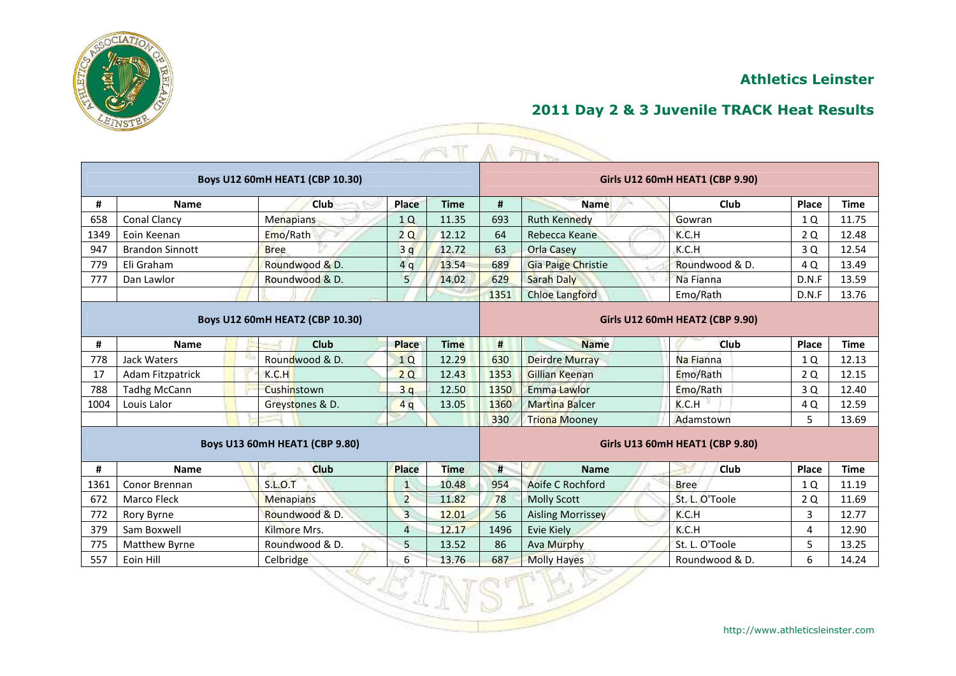



|      |                         |                                       |                |             |      | A FIFT                    |                                        |       |             |
|------|-------------------------|---------------------------------------|----------------|-------------|------|---------------------------|----------------------------------------|-------|-------------|
|      |                         | Boys U12 60mH HEAT1 (CBP 10.30)       |                |             |      |                           | Girls U12 60mH HEAT1 (CBP 9.90)        |       |             |
| #    | <b>Name</b>             | <b>Club</b>                           | Place          | <b>Time</b> | #    | <b>Name</b>               | Club                                   | Place | <b>Time</b> |
| 658  | Conal Clancy            | <b>Menapians</b>                      | 1Q             | 11.35       | 693  | <b>Ruth Kennedy</b>       | Gowran                                 | 1 Q   | 11.75       |
| 1349 | Eoin Keenan             | Emo/Rath                              | 2Q             | 12.12       | 64   | Rebecca Keane             | K.C.H                                  | 2Q    | 12.48       |
| 947  | <b>Brandon Sinnott</b>  | <b>Bree</b>                           | 3q             | 12.72       | 63   | Orla Casey                | K.C.H                                  | 3 Q   | 12.54       |
| 779  | Eli Graham              | Roundwood & D.                        | 4q             | 13.54       | 689  | <b>Gia Paige Christie</b> | Roundwood & D.                         | 4 Q   | 13.49       |
| 777  | Dan Lawlor              | Roundwood & D.                        | 5              | 14.02       | 629  | <b>Sarah Daly</b>         | Na Fianna                              | D.N.F | 13.59       |
|      |                         |                                       |                |             | 1351 | Chloe Langford            | Emo/Rath                               | D.N.F | 13.76       |
|      |                         | Boys U12 60mH HEAT2 (CBP 10.30)       |                |             |      |                           | <b>Girls U12 60mH HEAT2 (CBP 9.90)</b> |       |             |
| #    | <b>Name</b>             | Club                                  | <b>Place</b>   | <b>Time</b> | #    | <b>Name</b>               | <b>Club</b>                            | Place | <b>Time</b> |
| 778  | Jack Waters             | Roundwood & D.                        | 1Q             | 12.29       | 630  | <b>Deirdre Murray</b>     | Na Fianna                              | 1 Q   | 12.13       |
| 17   | <b>Adam Fitzpatrick</b> | K.C.H                                 | 2Q             | 12.43       | 1353 | <b>Gillian Keenan</b>     | Emo/Rath                               | 2 Q   | 12.15       |
| 788  | <b>Tadhg McCann</b>     | Cushinstown                           | 3q             | 12.50       | 1350 | Emma Lawlor               | Emo/Rath                               | 3 Q   | 12.40       |
| 1004 | Louis Lalor             | Greystones & D.                       | 4q             | 13.05       | 1360 | <b>Martina Balcer</b>     | K.C.H                                  | 4 Q   | 12.59       |
|      |                         |                                       |                |             | 330  | <b>Triona Mooney</b>      | Adamstown                              | 5     | 13.69       |
|      |                         | <b>Boys U13 60mH HEAT1 (CBP 9.80)</b> |                |             |      |                           | <b>Girls U13 60mH HEAT1 (CBP 9.80)</b> |       |             |
| #    | <b>Name</b>             | <b>Club</b>                           | <b>Place</b>   | <b>Time</b> | #    | <b>Name</b>               | <b>Club</b>                            | Place | <b>Time</b> |
| 1361 | Conor Brennan           | <b>S.L.O.T</b>                        | $\mathbf{1}$   | 10.48       | 954  | Aoife C Rochford          | <b>Bree</b>                            | 1 Q   | 11.19       |
| 672  | <b>Marco Fleck</b>      | <b>Menapians</b>                      | $\overline{2}$ | 11.82       | 78   | <b>Molly Scott</b>        | St. L. O'Toole                         | 2 Q   | 11.69       |
| 772  | Rory Byrne              | Roundwood & D.                        | $\overline{3}$ | 12.01       | 56   | <b>Aisling Morrissey</b>  | K.C.H                                  | 3     | 12.77       |
| 379  | Sam Boxwell             | Kilmore Mrs.                          | $\overline{4}$ | 12.17       | 1496 | Evie Kiely                | K.C.H                                  | 4     | 12.90       |
| 775  | Matthew Byrne           | Roundwood & D.                        | 5              | 13.52       | 86   | Ava Murphy                | St. L. O'Toole                         | 5     | 13.25       |
| 557  | Eoin Hill               | Celbridge                             | 6              | 13.76       | 687  | <b>Molly Hayes</b>        | Roundwood & D.                         | 6     | 14.24       |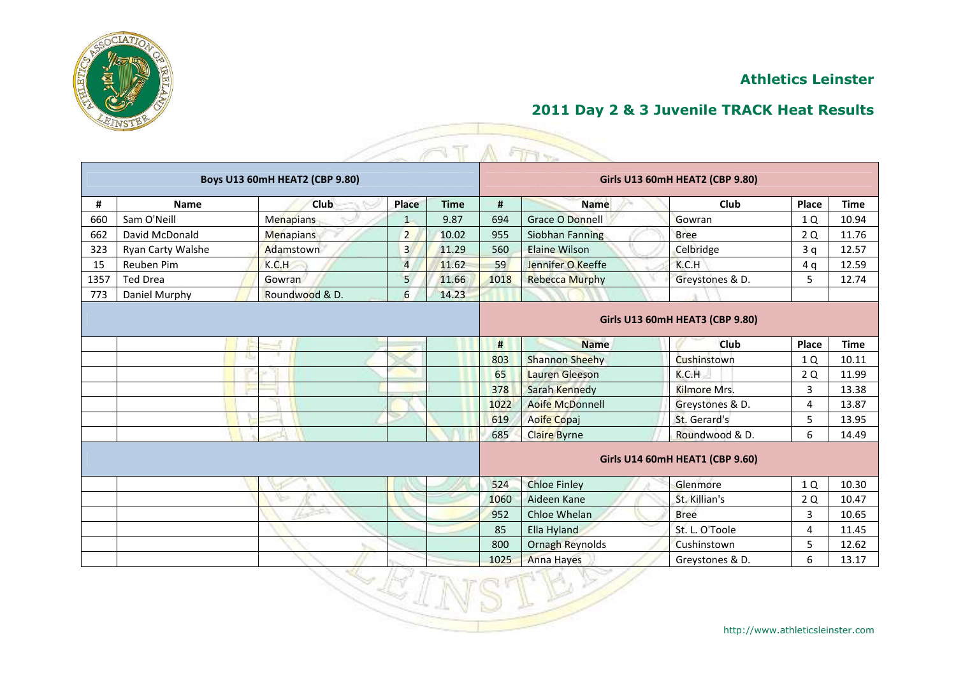



|      |                   |                                       |                |             |      | A FIFT                 |                                        |       |             |
|------|-------------------|---------------------------------------|----------------|-------------|------|------------------------|----------------------------------------|-------|-------------|
|      |                   | <b>Boys U13 60mH HEAT2 (CBP 9.80)</b> |                |             |      |                        | <b>Girls U13 60mH HEAT2 (CBP 9.80)</b> |       |             |
| #    | <b>Name</b>       | Club                                  | Place          | <b>Time</b> | #    | <b>Name</b>            | Club                                   | Place | <b>Time</b> |
| 660  | Sam O'Neill       | <b>Menapians</b>                      | $\mathbf{1}$   | 9.87        | 694  | <b>Grace O Donnell</b> | Gowran                                 | 1 Q   | 10.94       |
| 662  | David McDonald    | <b>Menapians</b>                      | $\overline{2}$ | 10.02       | 955  | Siobhan Fanning        | <b>Bree</b>                            | 2Q    | 11.76       |
| 323  | Ryan Carty Walshe | Adamstown                             | $\overline{3}$ | 11.29       | 560  | <b>Elaine Wilson</b>   | Celbridge                              | 3q    | 12.57       |
| 15   | Reuben Pim        | K.C.H                                 | $\overline{4}$ | 11.62       | 59   | Jennifer O Keeffe      | K.C.H                                  | 4q    | 12.59       |
| 1357 | <b>Ted Drea</b>   | Gowran                                | 5 <sub>5</sub> | 11.66       | 1018 | <b>Rebecca Murphy</b>  | Greystones & D.                        | 5     | 12.74       |
| 773  | Daniel Murphy     | Roundwood & D.                        | 6              | 14.23       |      |                        |                                        |       |             |
|      |                   |                                       |                |             |      |                        | Girls U13 60mH HEAT3 (CBP 9.80)        |       |             |
|      |                   |                                       |                |             | #    | <b>Name</b>            | <b>Club</b>                            | Place | <b>Time</b> |
|      |                   |                                       |                |             | 803  | <b>Shannon Sheehy</b>  | Cushinstown                            | 1 Q   | 10.11       |
|      |                   |                                       |                |             | 65   | <b>Lauren Gleeson</b>  | K.C.H                                  | 2 Q   | 11.99       |
|      |                   |                                       |                |             | 378  | Sarah Kennedy          | Kilmore Mrs.                           | 3     | 13.38       |
|      |                   |                                       |                |             | 1022 | <b>Aoife McDonnell</b> | Greystones & D.                        | 4     | 13.87       |
|      |                   |                                       |                |             | 619  | Aoife Copaj            | St. Gerard's                           | 5     | 13.95       |
|      |                   |                                       |                |             | 685  | <b>Claire Byrne</b>    | Roundwood & D.                         | 6     | 14.49       |
|      |                   |                                       |                |             |      |                        | Girls U14 60mH HEAT1 (CBP 9.60)        |       |             |
|      |                   |                                       |                |             | 524  | <b>Chloe Finley</b>    | Glenmore                               | 1 Q   | 10.30       |
|      |                   |                                       |                |             | 1060 | Aideen Kane            | St. Killian's                          | 2Q    | 10.47       |
|      |                   |                                       |                |             | 952  | Chloe Whelan           | <b>Bree</b>                            | 3     | 10.65       |
|      |                   |                                       |                |             | 85   | Ella Hyland            | St. L. O'Toole                         | 4     | 11.45       |
|      |                   |                                       |                |             | 800  | <b>Ornagh Reynolds</b> | Cushinstown                            | 5     | 12.62       |
|      |                   |                                       |                |             | 1025 | <b>Anna Hayes</b>      | Greystones & D.                        | 6     | 13.17       |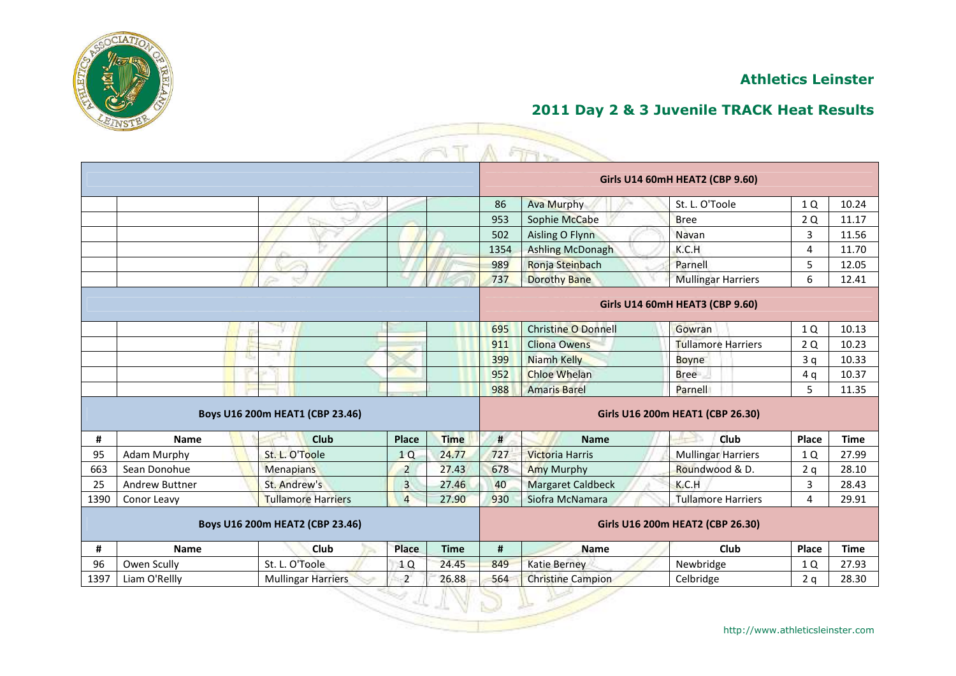

# **2011 Day 2 & 3 Juvenile TRACK Heat Results**

|      |                       |                                 |                         |             |      | $ET1 -$                    |                                        |       |             |
|------|-----------------------|---------------------------------|-------------------------|-------------|------|----------------------------|----------------------------------------|-------|-------------|
|      |                       |                                 |                         |             |      |                            | <b>Girls U14 60mH HEAT2 (CBP 9.60)</b> |       |             |
|      |                       |                                 |                         |             | 86   | <b>Ava Murphy</b>          | St. L. O'Toole                         | 1Q    | 10.24       |
|      |                       |                                 |                         |             | 953  | Sophie McCabe              | <b>Bree</b>                            | 2 Q   | 11.17       |
|      |                       |                                 |                         |             | 502  | Aisling O Flynn            | Navan                                  | 3     | 11.56       |
|      |                       |                                 |                         |             | 1354 | <b>Ashling McDonagh</b>    | K.C.H                                  | 4     | 11.70       |
|      |                       |                                 |                         |             | 989  | Ronja Steinbach            | Parnell                                | 5     | 12.05       |
|      |                       |                                 |                         |             | 737  | <b>Dorothy Bane</b>        | <b>Mullingar Harriers</b>              | 6     | 12.41       |
|      |                       |                                 |                         |             |      |                            | Girls U14 60mH HEAT3 (CBP 9.60)        |       |             |
|      |                       |                                 |                         |             | 695  | <b>Christine O Donnell</b> | Gowran                                 | 1 Q   | 10.13       |
|      |                       |                                 |                         |             | 911  | <b>Cliona Owens</b>        | <b>Tullamore Harriers</b>              | 2 Q   | 10.23       |
|      |                       |                                 |                         |             | 399  | <b>Niamh Kelly</b>         | <b>Boyne</b>                           | 3q    | 10.33       |
|      |                       |                                 |                         |             | 952  | <b>Chloe Whelan</b>        | <b>Bree</b>                            | 4q    | 10.37       |
|      |                       |                                 |                         |             | 988  | <b>Amaris Barel</b>        | Parnell                                | 5     | 11.35       |
|      |                       | Boys U16 200m HEAT1 (CBP 23.46) |                         |             |      |                            | Girls U16 200m HEAT1 (CBP 26.30)       |       |             |
| #    | <b>Name</b>           | <b>Club</b>                     | Place                   | <b>Time</b> | #    | <b>Name</b>                | Club                                   | Place | <b>Time</b> |
| 95   | <b>Adam Murphy</b>    | St. L. O'Toole                  | 1Q                      | 24.77       | 727  | <b>Victoria Harris</b>     | <b>Mullingar Harriers</b>              | 1 Q   | 27.99       |
| 663  | Sean Donohue          | <b>Menapians</b>                | $\overline{2}$          | 27.43       | 678  | <b>Amy Murphy</b>          | Roundwood & D.                         | 2q    | 28.10       |
| 25   | <b>Andrew Buttner</b> | St. Andrew's                    | $\overline{\mathbf{3}}$ | 27.46       | 40   | <b>Margaret Caldbeck</b>   | K.C.H                                  | 3     | 28.43       |
| 1390 | Conor Leavy           | <b>Tullamore Harriers</b>       | $\overline{4}$          | 27.90       | 930  | Siofra McNamara            | <b>Tullamore Harriers</b>              | 4     | 29.91       |
|      |                       | Boys U16 200m HEAT2 (CBP 23.46) |                         |             |      |                            | Girls U16 200m HEAT2 (CBP 26.30)       |       |             |
| #    | <b>Name</b>           | Club                            | <b>Place</b>            | <b>Time</b> | #    | Name                       | Club                                   | Place | <b>Time</b> |
| 96   | Owen Scully           | St. L. O'Toole                  | 1 Q                     | 24.45       | 849  | <b>Katie Berney</b>        | Newbridge                              | 1 Q   | 27.93       |
| 1397 | Liam O'Rellly         | <b>Mullingar Harriers</b>       | $\overline{2}$          | 26.88       | 564  | <b>Christine Campion</b>   | Celbridge                              | 2q    | 28.30       |
|      |                       |                                 |                         |             |      |                            |                                        |       |             |

Z,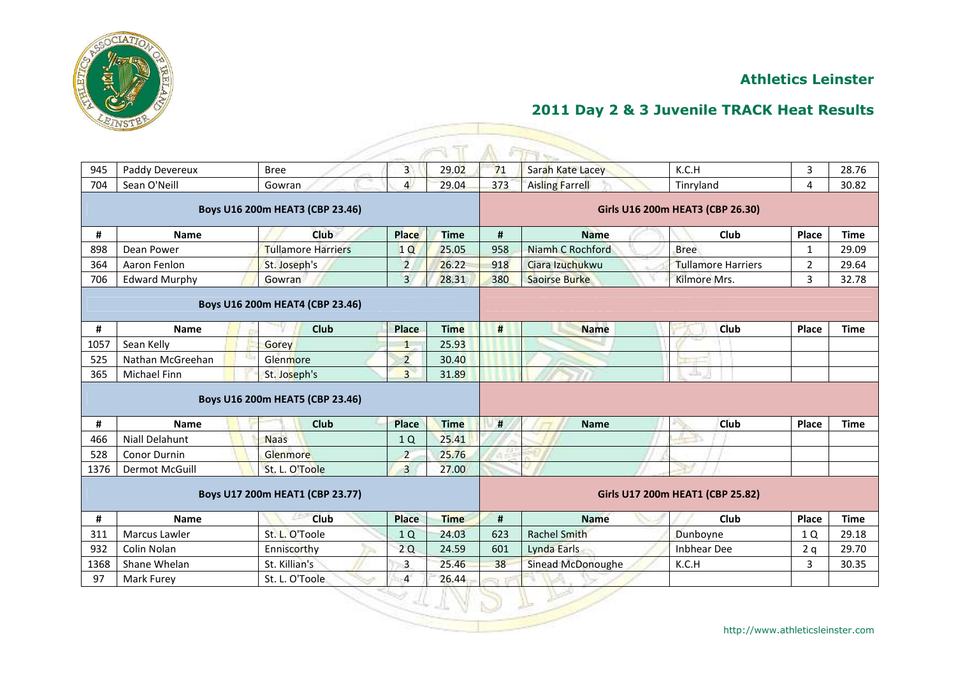

|      |                       |                                 |                |             |     | 开下。                  |                                  |                |             |
|------|-----------------------|---------------------------------|----------------|-------------|-----|----------------------|----------------------------------|----------------|-------------|
| 945  | Paddy Devereux        | <b>Bree</b>                     | $\overline{3}$ | 29.02       | 71  | Sarah Kate Lacey     | K.C.H                            | 3              | 28.76       |
| 704  | Sean O'Neill          | Gowran                          | $\overline{4}$ | 29.04       | 373 | Aisling Farrell      | Tinryland                        | 4              | 30.82       |
|      |                       | Boys U16 200m HEAT3 (CBP 23.46) |                |             |     |                      | Girls U16 200m HEAT3 (CBP 26.30) |                |             |
| #    | <b>Name</b>           | Club                            | <b>Place</b>   | <b>Time</b> | #   | <b>Name</b>          | Club                             | Place          | <b>Time</b> |
| 898  | Dean Power            | <b>Tullamore Harriers</b>       | 1Q             | 25.05       | 958 | Niamh C Rochford     | <b>Bree</b>                      | $\mathbf{1}$   | 29.09       |
| 364  | Aaron Fenlon          | St. Joseph's                    | $\overline{2}$ | 26.22       | 918 | Ciara Izuchukwu      | <b>Tullamore Harriers</b>        | $\overline{2}$ | 29.64       |
| 706  | <b>Edward Murphy</b>  | Gowran                          | $\overline{3}$ | 28.31       | 380 | <b>Saoirse Burke</b> | Kilmore Mrs.                     | $\overline{3}$ | 32.78       |
|      |                       | Boys U16 200m HEAT4 (CBP 23.46) |                |             |     |                      |                                  |                |             |
| #    | <b>Name</b>           | <b>Club</b>                     | <b>Place</b>   | <b>Time</b> | #   | <b>Name</b>          | Club                             | Place          | <b>Time</b> |
| 1057 | Sean Kelly            | Gorey                           | $\overline{1}$ | 25.93       |     |                      |                                  |                |             |
| 525  | Nathan McGreehan      | Glenmore                        | $\overline{2}$ | 30.40       |     |                      |                                  |                |             |
| 365  | Michael Finn          | St. Joseph's                    | $\overline{3}$ | 31.89       |     |                      | تظل                              |                |             |
|      |                       | Boys U16 200m HEAT5 (CBP 23.46) |                |             |     |                      |                                  |                |             |
| #    | <b>Name</b>           | <b>Club</b>                     | <b>Place</b>   | <b>Time</b> | #   | <b>Name</b>          | <b>Club</b>                      | Place          | <b>Time</b> |
| 466  | <b>Niall Delahunt</b> | <b>Naas</b>                     | 1Q             | 25.41       |     |                      |                                  |                |             |
| 528  | Conor Durnin          | Glenmore                        | $\overline{2}$ | 25.76       |     |                      |                                  |                |             |
| 1376 | Dermot McGuill        | St. L. O'Toole                  | $\overline{3}$ | 27.00       |     |                      |                                  |                |             |
|      |                       |                                 |                |             |     |                      |                                  |                |             |
|      |                       | Boys U17 200m HEAT1 (CBP 23.77) |                |             |     |                      | Girls U17 200m HEAT1 (CBP 25.82) |                |             |
| #    | <b>Name</b>           | <b>Club</b>                     | <b>Place</b>   | <b>Time</b> | #   | <b>Name</b>          | Club                             | Place          | <b>Time</b> |
| 311  | Marcus Lawler         | St. L. O'Toole                  | 1Q             | 24.03       | 623 | <b>Rachel Smith</b>  | Dunboyne                         | 1 Q            | 29.18       |
| 932  | Colin Nolan           | Enniscorthy                     | 2Q             | 24.59       | 601 | Lynda Earls          | <b>Inbhear Dee</b>               | 2q             | 29.70       |
| 1368 | Shane Whelan          | St. Killian's                   | $\mathbf{3}$   | 25.46       | 38  | Sinead McDonoughe    | K.C.H                            | 3              | 30.35       |
| 97   | Mark Furey            | St. L. O'Toole                  | $\overline{4}$ | 26.44       |     |                      |                                  |                |             |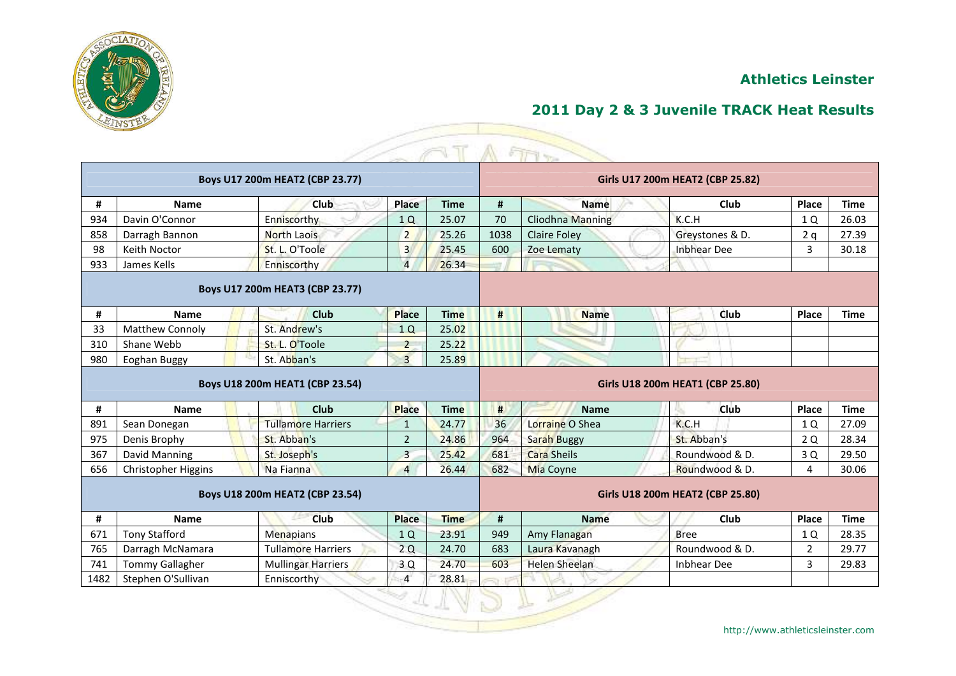

|                                 |                            |                                 |                |             |                                  | ETT17                   |                                  |                |             |  |  |
|---------------------------------|----------------------------|---------------------------------|----------------|-------------|----------------------------------|-------------------------|----------------------------------|----------------|-------------|--|--|
|                                 |                            | Boys U17 200m HEAT2 (CBP 23.77) |                |             |                                  |                         | Girls U17 200m HEAT2 (CBP 25.82) |                |             |  |  |
| #                               | Name                       | Club                            | Place          | <b>Time</b> | #                                | <b>Name</b>             | Club                             | Place          | <b>Time</b> |  |  |
| 934                             | Davin O'Connor             | Enniscorthy                     | 1Q             | 25.07       | 70                               | <b>Cliodhna Manning</b> | K.C.H                            | 1 Q            | 26.03       |  |  |
| 858                             | Darragh Bannon             | <b>North Laois</b>              | $\overline{2}$ | 25.26       | 1038                             | <b>Claire Foley</b>     | Greystones & D.                  | 2q             | 27.39       |  |  |
| 98                              | Keith Noctor               | St. L. O'Toole                  | 3              | 25.45       | 600                              | Zoe Lematy              | <b>Inbhear Dee</b>               | 3              | 30.18       |  |  |
| 933                             | James Kells                | Enniscorthy                     | $\overline{4}$ | 26.34       |                                  |                         |                                  |                |             |  |  |
|                                 |                            | Boys U17 200m HEAT3 (CBP 23.77) |                |             |                                  |                         |                                  |                |             |  |  |
| #                               | <b>Name</b>                | Club                            | <b>Place</b>   | <b>Time</b> | #                                | <b>Name</b>             | Club                             | Place          | <b>Time</b> |  |  |
| 33                              | <b>Matthew Connoly</b>     | St. Andrew's                    | 1Q             | 25.02       |                                  |                         |                                  |                |             |  |  |
| 310                             | Shane Webb                 | St. L. O'Toole                  | $\overline{2}$ | 25.22       |                                  |                         |                                  |                |             |  |  |
| 980                             | Eoghan Buggy               | St. Abban's                     | $\overline{3}$ | 25.89       |                                  |                         |                                  |                |             |  |  |
|                                 |                            | Boys U18 200m HEAT1 (CBP 23.54) |                |             |                                  |                         | Girls U18 200m HEAT1 (CBP 25.80) |                |             |  |  |
| #                               | <b>Name</b>                | Club                            | <b>Place</b>   | <b>Time</b> | #                                | <b>Name</b>             | <b>Club</b>                      | Place          | <b>Time</b> |  |  |
| 891                             | Sean Donegan               | <b>Tullamore Harriers</b>       | $\mathbf{1}$   | 24.77       | 36                               | Lorraine O Shea         | K.C.H                            | 1 Q            | 27.09       |  |  |
| 975                             | Denis Brophy               | St. Abban's                     | $\overline{2}$ | 24.86       | 964                              | <b>Sarah Buggy</b>      | St. Abban's                      | 2 Q            | 28.34       |  |  |
| 367                             | David Manning              | St. Joseph's                    | $\overline{3}$ | 25.42       | 681                              | <b>Cara Sheils</b>      | Roundwood & D.                   | 3Q             | 29.50       |  |  |
| 656                             | <b>Christopher Higgins</b> | Na Fianna                       | $\overline{4}$ | 26.44       | 682                              | <b>Mia Coyne</b>        | Roundwood & D.                   | 4              | 30.06       |  |  |
| Boys U18 200m HEAT2 (CBP 23.54) |                            |                                 |                |             | Girls U18 200m HEAT2 (CBP 25.80) |                         |                                  |                |             |  |  |
| #                               | <b>Name</b>                | Club                            | <b>Place</b>   | <b>Time</b> | #                                | <b>Name</b>             | Club                             | Place          | <b>Time</b> |  |  |
| 671                             | <b>Tony Stafford</b>       | Menapians                       | 1Q             | 23.91       | 949                              | Amy Flanagan            | <b>Bree</b>                      | 1 Q            | 28.35       |  |  |
| 765                             | Darragh McNamara           | <b>Tullamore Harriers</b>       | 2Q             | 24.70       | 683                              | Laura Kavanagh          | Roundwood & D.                   | $\overline{2}$ | 29.77       |  |  |
| 741                             | <b>Tommy Gallagher</b>     | <b>Mullingar Harriers</b>       | 3Q             | 24.70       | 603                              | <b>Helen Sheelan</b>    | Inbhear Dee                      | 3              | 29.83       |  |  |
| 1482                            | Stephen O'Sullivan         | Enniscorthy                     | $\overline{4}$ | 28.81       |                                  |                         |                                  |                |             |  |  |
|                                 |                            |                                 |                |             |                                  |                         |                                  |                |             |  |  |

Ñ,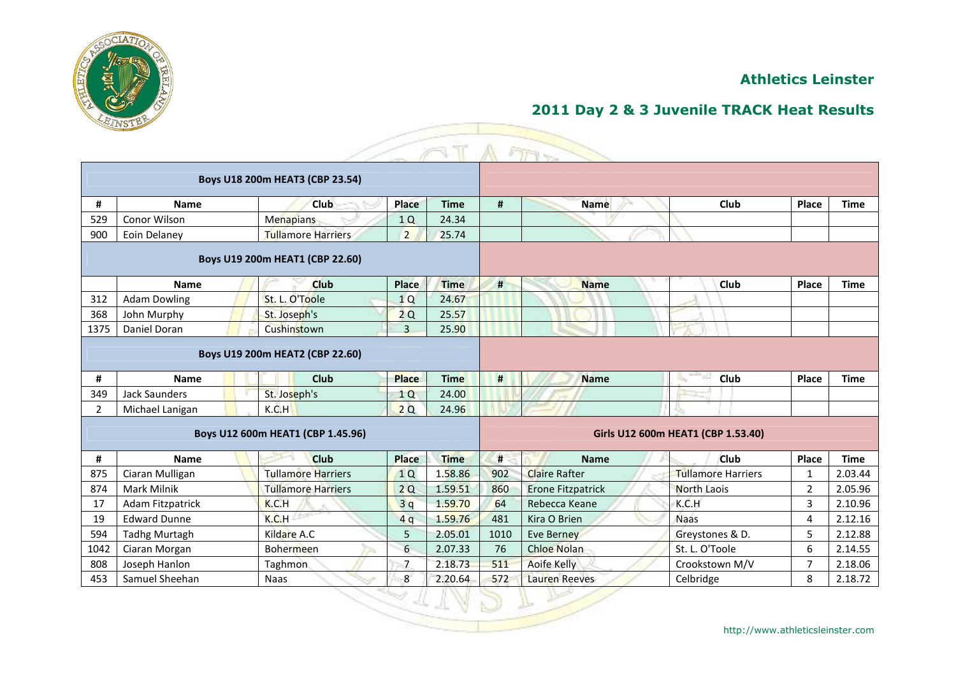

## **2011 Day 2 & 3 Juvenile TRACK Heat Results**

|                |                         |                                   |                |             |      | ETT17                    |                                    |                |             |
|----------------|-------------------------|-----------------------------------|----------------|-------------|------|--------------------------|------------------------------------|----------------|-------------|
|                |                         | Boys U18 200m HEAT3 (CBP 23.54)   |                |             |      |                          |                                    |                |             |
| #              | <b>Name</b>             | Club                              | Place          | <b>Time</b> | #    | <b>Name</b>              | Club                               | Place          | <b>Time</b> |
| 529            | Conor Wilson            | <b>Menapians</b>                  | 1Q             | 24.34       |      |                          |                                    |                |             |
| 900            | Eoin Delaney            | <b>Tullamore Harriers</b>         | $\overline{2}$ | 25.74       |      |                          |                                    |                |             |
|                |                         | Boys U19 200m HEAT1 (CBP 22.60)   |                |             |      |                          |                                    |                |             |
|                | <b>Name</b>             | <b>Club</b>                       | Place          | <b>Time</b> | #    | <b>Name</b>              | Club                               | Place          | <b>Time</b> |
| 312            | <b>Adam Dowling</b>     | St. L. O'Toole                    | 1Q             | 24.67       |      |                          |                                    |                |             |
| 368            | John Murphy             | St. Joseph's                      | 2Q             | 25.57       |      |                          |                                    |                |             |
| 1375           | Daniel Doran            | Cushinstown                       | $\overline{3}$ | 25.90       |      |                          |                                    |                |             |
|                |                         | Boys U19 200m HEAT2 (CBP 22.60)   |                |             |      |                          |                                    |                |             |
| #              | <b>Name</b>             | <b>Club</b>                       | <b>Place</b>   | <b>Time</b> | #    | <b>Name</b>              | Club                               | Place          | <b>Time</b> |
| 349            | Jack Saunders           | St. Joseph's                      | 1Q             | 24.00       |      |                          |                                    |                |             |
| $\overline{2}$ | Michael Lanigan         | K.C.H                             | 2Q             | 24.96       |      |                          |                                    |                |             |
|                |                         | Boys U12 600m HEAT1 (CBP 1.45.96) |                |             |      |                          | Girls U12 600m HEAT1 (CBP 1.53.40) |                |             |
| #              | <b>Name</b>             | <b>Club</b>                       | <b>Place</b>   | <b>Time</b> | #    | <b>Name</b>              | <b>Club</b>                        | Place          | <b>Time</b> |
| 875            | Ciaran Mulligan         | <b>Tullamore Harriers</b>         | 1Q             | 1.58.86     | 902  | <b>Claire Rafter</b>     | <b>Tullamore Harriers</b>          | 1              | 2.03.44     |
| 874            | Mark Milnik             | <b>Tullamore Harriers</b>         | 2Q             | 1.59.51     | 860  | <b>Erone Fitzpatrick</b> | <b>North Laois</b>                 | $\overline{2}$ | 2.05.96     |
| 17             | <b>Adam Fitzpatrick</b> | K.C.H                             | 3q             | 1.59.70     | 64   | Rebecca Keane            | K.C.H                              | 3              | 2.10.96     |
| 19             | <b>Edward Dunne</b>     | K.C.H                             | 4q             | 1.59.76     | 481  | Kira O Brien             | <b>Naas</b>                        | 4              | 2.12.16     |
| 594            | <b>Tadhg Murtagh</b>    | Kildare A.C                       | 5              | 2.05.01     | 1010 | <b>Eve Berney</b>        | Greystones & D.                    | 5              | 2.12.88     |
| 1042           | Ciaran Morgan           | <b>Bohermeen</b>                  | 6              | 2.07.33     | 76   | <b>Chloe Nolan</b>       | St. L. O'Toole                     | 6              | 2.14.55     |
| 808            | Joseph Hanlon           | Taghmon                           | $\overline{7}$ | 2.18.73     | 511  | Aoife Kelly              | Crookstown M/V                     | $\overline{7}$ | 2.18.06     |
| 453            | Samuel Sheehan          | Naas                              | 8              | 2.20.64     | 572  | <b>Lauren Reeves</b>     | Celbridge                          | 8              | 2.18.72     |
|                |                         |                                   |                |             |      |                          |                                    |                |             |

◇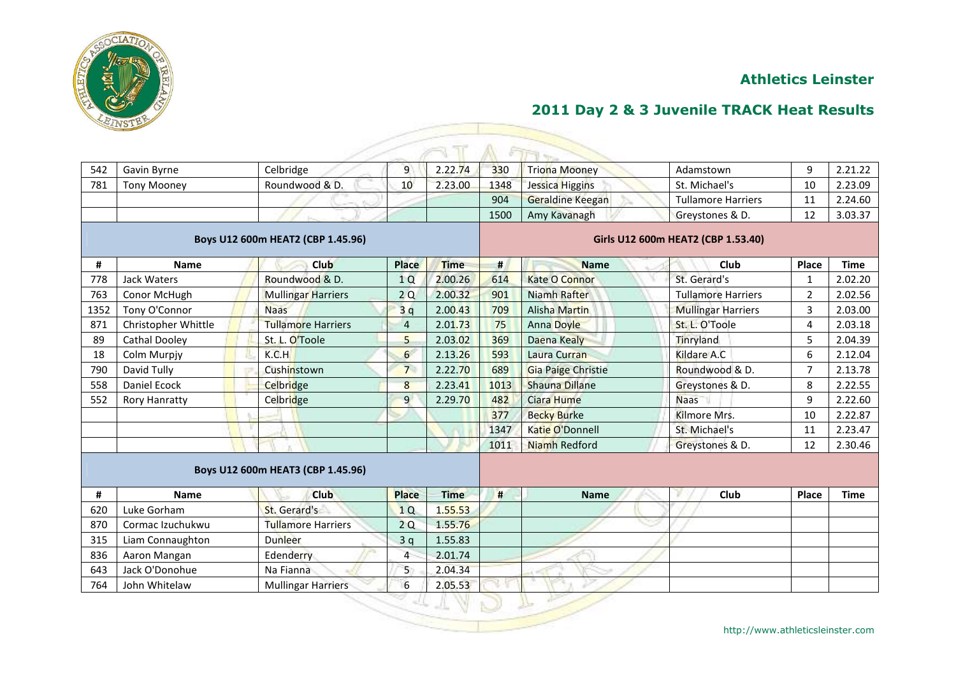

## **2011 Day 2 & 3 Juvenile TRACK Heat Results**

| 542                               | Gavin Byrne          | Celbridge                         | $\overline{9}$ | 2.22.74     | 330                                | <b>Triona Mooney</b>      | Adamstown                 | 9              | 2.21.22     |  |  |
|-----------------------------------|----------------------|-----------------------------------|----------------|-------------|------------------------------------|---------------------------|---------------------------|----------------|-------------|--|--|
| 781                               | <b>Tony Mooney</b>   | Roundwood & D.                    | 10             | 2.23.00     | 1348                               | Jessica Higgins           | St. Michael's             | 10             | 2.23.09     |  |  |
|                                   |                      |                                   |                |             | 904                                | <b>Geraldine Keegan</b>   | <b>Tullamore Harriers</b> | 11             | 2.24.60     |  |  |
|                                   |                      |                                   |                |             | 1500                               | Amy Kavanagh              | Greystones & D.           | 12             | 3.03.37     |  |  |
| Boys U12 600m HEAT2 (CBP 1.45.96) |                      |                                   |                |             | Girls U12 600m HEAT2 (CBP 1.53.40) |                           |                           |                |             |  |  |
| #                                 | <b>Name</b>          | Club                              | Place          | <b>Time</b> | #                                  | <b>Name</b>               | Club                      | Place          | <b>Time</b> |  |  |
| 778                               | <b>Jack Waters</b>   | Roundwood & D.                    | 1Q             | 2.00.26     | 614                                | <b>Kate O Connor</b>      | St. Gerard's              | 1              | 2.02.20     |  |  |
| 763                               | Conor McHugh         | <b>Mullingar Harriers</b>         | 2Q             | 2.00.32     | 901                                | Niamh Rafter              | <b>Tullamore Harriers</b> | $\overline{2}$ | 2.02.56     |  |  |
| 1352                              | Tony O'Connor        | <b>Naas</b>                       | 3q             | 2.00.43     | 709                                | <b>Alisha Martin</b>      | <b>Mullingar Harriers</b> | 3              | 2.03.00     |  |  |
| 871                               | Christopher Whittle  | <b>Tullamore Harriers</b>         | $\overline{4}$ | 2.01.73     | 75                                 | <b>Anna Doyle</b>         | St. L. O'Toole            | $\overline{4}$ | 2.03.18     |  |  |
| 89                                | <b>Cathal Dooley</b> | St. L. O'Toole                    | 5              | 2.03.02     | 369                                | Daena Kealy               | Tinryland                 | 5              | 2.04.39     |  |  |
| 18                                | Colm Murpjy          | K.C.H                             | 6              | 2.13.26     | 593                                | Laura Curran              | Kildare A.C               | 6              | 2.12.04     |  |  |
| 790                               | David Tully          | Cushinstown                       | $\overline{7}$ | 2.22.70     | 689                                | <b>Gia Paige Christie</b> | Roundwood & D.            | $\overline{7}$ | 2.13.78     |  |  |
| 558                               | Daniel Ecock         | <b>Celbridge</b>                  | 8              | 2.23.41     | 1013                               | <b>Shauna Dillane</b>     | Greystones & D.           | 8              | 2.22.55     |  |  |
| 552                               | <b>Rory Hanratty</b> | Celbridge                         | $\overline{9}$ | 2.29.70     | 482                                | Ciara Hume                | <b>Naas</b>               | 9              | 2.22.60     |  |  |
|                                   |                      |                                   |                |             | 377                                | <b>Becky Burke</b>        | Kilmore Mrs.              | 10             | 2.22.87     |  |  |
|                                   |                      |                                   |                |             | 1347                               | Katie O'Donnell           | St. Michael's             | 11             | 2.23.47     |  |  |
|                                   |                      |                                   |                |             | 1011                               | Niamh Redford             | Greystones & D.           | 12             | 2.30.46     |  |  |
|                                   |                      | Boys U12 600m HEAT3 (CBP 1.45.96) |                |             |                                    |                           |                           |                |             |  |  |
| #                                 | <b>Name</b>          | <b>Club</b>                       | <b>Place</b>   | <b>Time</b> | #                                  | <b>Name</b>               | Club                      | Place          | <b>Time</b> |  |  |
| 620                               | Luke Gorham          | St. Gerard's                      | 1Q             | 1.55.53     |                                    |                           |                           |                |             |  |  |
| 870                               | Cormac Izuchukwu     | <b>Tullamore Harriers</b>         | 2Q             | 1.55.76     |                                    |                           |                           |                |             |  |  |
| 315                               | Liam Connaughton     | <b>Dunleer</b>                    | 3q             | 1.55.83     |                                    |                           |                           |                |             |  |  |
| 836                               | Aaron Mangan         | Edenderry                         | $\overline{4}$ | 2.01.74     |                                    |                           |                           |                |             |  |  |
| 643                               | Jack O'Donohue       | Na Fianna                         | 5 <sup>°</sup> | 2.04.34     |                                    |                           |                           |                |             |  |  |
| 764                               | John Whitelaw        | <b>Mullingar Harriers</b>         | 6              | 2.05.53     |                                    |                           |                           |                |             |  |  |
|                                   |                      |                                   |                |             |                                    |                           |                           |                |             |  |  |

 $\mathbb{R}$ 

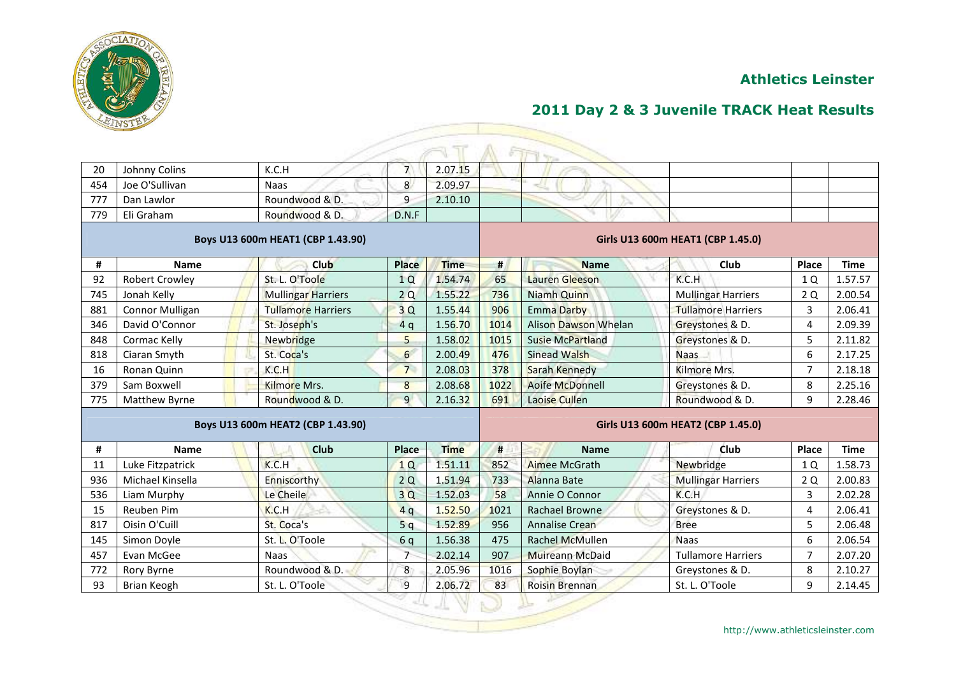

|                                   |                        |                                   |                 |             |                                   | <b>STRING</b>               |                           |                |             |  |  |
|-----------------------------------|------------------------|-----------------------------------|-----------------|-------------|-----------------------------------|-----------------------------|---------------------------|----------------|-------------|--|--|
| 20                                | Johnny Colins          | K.C.H                             | $\overline{7}$  | 2.07.15     |                                   |                             |                           |                |             |  |  |
| 454                               | Joe O'Sullivan         | <b>Naas</b>                       | 8               | 2.09.97     |                                   |                             |                           |                |             |  |  |
| 777                               | Dan Lawlor             | Roundwood & D.                    | 9               | 2.10.10     |                                   |                             |                           |                |             |  |  |
| 779                               | Eli Graham             | Roundwood & D.                    | D.N.F           |             |                                   |                             |                           |                |             |  |  |
| Boys U13 600m HEAT1 (CBP 1.43.90) |                        |                                   |                 |             | Girls U13 600m HEAT1 (CBP 1.45.0) |                             |                           |                |             |  |  |
| #                                 | <b>Name</b>            | Club                              | Place           | <b>Time</b> | #                                 | <b>Name</b>                 | Club                      | Place          | <b>Time</b> |  |  |
| 92                                | <b>Robert Crowley</b>  | St. L. O'Toole                    | 1Q              | 1.54.74     | 65                                | Lauren Gleeson              | K.C.H                     | 1 Q            | 1.57.57     |  |  |
| 745                               | Jonah Kelly            | <b>Mullingar Harriers</b>         | 2Q              | 1.55.22     | 736                               | Niamh Quinn                 | <b>Mullingar Harriers</b> | 2 Q            | 2.00.54     |  |  |
| 881                               | <b>Connor Mulligan</b> | <b>Tullamore Harriers</b>         | 3Q              | 1.55.44     | 906                               | <b>Emma Darby</b>           | <b>Tullamore Harriers</b> | $\overline{3}$ | 2.06.41     |  |  |
| 346                               | David O'Connor         | St. Joseph's                      | 4q              | 1.56.70     | 1014                              | <b>Alison Dawson Whelan</b> | Greystones & D.           | 4              | 2.09.39     |  |  |
| 848                               | Cormac Kelly           | Newbridge                         | 5               | 1.58.02     | 1015                              | <b>Susie McPartland</b>     | Greystones & D.           | 5              | 2.11.82     |  |  |
| 818                               | Ciaran Smyth           | St. Coca's                        | 6               | 2.00.49     | 476                               | <b>Sinead Walsh</b>         | <b>Naas</b>               | 6              | 2.17.25     |  |  |
| 16                                | Ronan Quinn            | K.C.H                             | $7\overline{ }$ | 2.08.03     | 378                               | Sarah Kennedy               | Kilmore Mrs.              | $\overline{7}$ | 2.18.18     |  |  |
| 379                               | Sam Boxwell            | <b>Kilmore Mrs.</b>               | 8               | 2.08.68     | 1022                              | Aoife McDonnell             | Greystones & D.           | 8              | 2.25.16     |  |  |
| 775                               | Matthew Byrne          | Roundwood & D.                    | 9               | 2.16.32     | 691                               | Laoise Cullen               | Roundwood & D.            | 9              | 2.28.46     |  |  |
|                                   |                        | Boys U13 600m HEAT2 (CBP 1.43.90) |                 |             | Girls U13 600m HEAT2 (CBP 1.45.0) |                             |                           |                |             |  |  |
| #                                 | <b>Name</b>            | Club                              | Place           | <b>Time</b> | #                                 | <b>Name</b>                 | <b>Club</b>               | Place          | <b>Time</b> |  |  |
| 11                                | Luke Fitzpatrick       | K.C.H                             | 1Q              | 1.51.11     | 852                               | <b>Aimee McGrath</b>        | Newbridge                 | 1 Q            | 1.58.73     |  |  |
| 936                               | Michael Kinsella       | Enniscorthy                       | 2Q              | 1.51.94     | 733                               | Alanna Bate                 | <b>Mullingar Harriers</b> | 2 Q            | 2.00.83     |  |  |
| 536                               | Liam Murphy            | Le Cheile                         | 3Q              | 1.52.03     | 58                                | Annie O Connor              | K.C.H                     | 3              | 2.02.28     |  |  |
| 15                                | Reuben Pim             | K.C.H                             | 4q              | 1.52.50     | 1021                              | <b>Rachael Browne</b>       | Greystones & D.           | 4              | 2.06.41     |  |  |
| 817                               | Oisin O'Cuill          | St. Coca's                        | 5q              | 1.52.89     | 956                               | Annalise Crean              | <b>Bree</b>               | 5              | 2.06.48     |  |  |
| 145                               | Simon Doyle            | St. L. O'Toole                    | 6q              | 1.56.38     | 475                               | <b>Rachel McMullen</b>      | <b>Naas</b>               | 6              | 2.06.54     |  |  |
| 457                               | Evan McGee             | <b>Naas</b>                       | $\overline{7}$  | 2.02.14     | 907                               | <b>Muireann McDaid</b>      | <b>Tullamore Harriers</b> | $\overline{7}$ | 2.07.20     |  |  |
| 772                               | Rory Byrne             | Roundwood & D.                    | 8               | 2.05.96     | 1016                              | Sophie Boylan               | Greystones & D.           | 8              | 2.10.27     |  |  |
| 93                                | Brian Keogh            | St. L. O'Toole                    | 9               | 2.06.72     | 83                                | <b>Roisin Brennan</b>       | St. L. O'Toole            | 9              | 2.14.45     |  |  |
|                                   |                        |                                   |                 |             |                                   |                             |                           |                |             |  |  |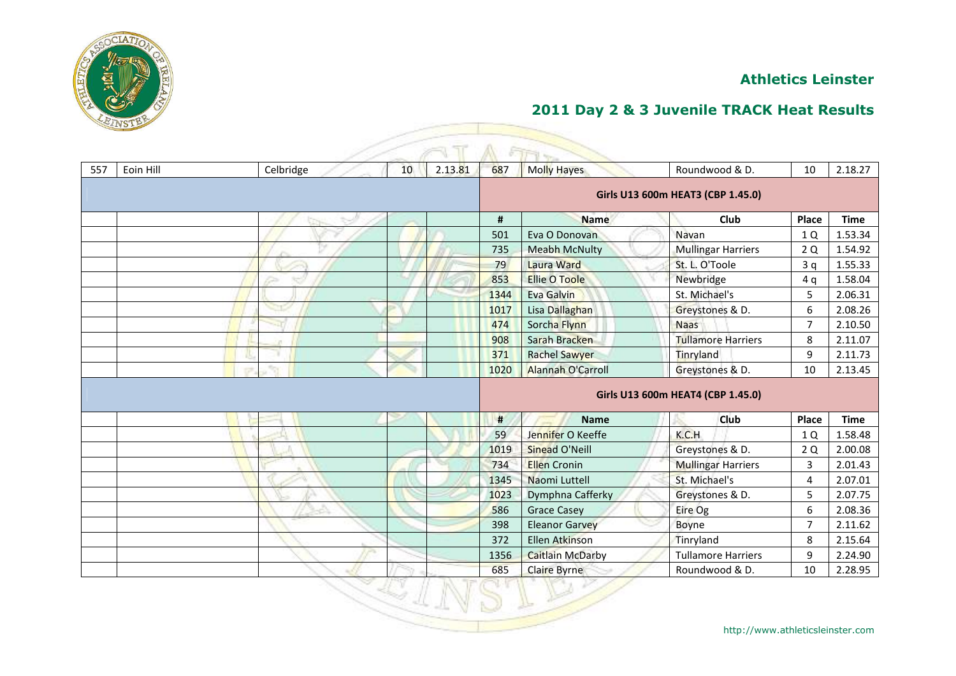



| 557 | Eoin Hill | Celbridge | 10 | 2.13.81 | 687  | <b>Molly Hayes</b>       | Roundwood & D.                    | 10             | 2.18.27     |
|-----|-----------|-----------|----|---------|------|--------------------------|-----------------------------------|----------------|-------------|
|     |           |           |    |         |      |                          | Girls U13 600m HEAT3 (CBP 1.45.0) |                |             |
|     |           |           |    |         | #    | <b>Name</b>              | Club                              | Place          | <b>Time</b> |
|     |           |           |    |         | 501  | Eva O Donovan            | Navan                             | 1 Q            | 1.53.34     |
|     |           |           |    |         | 735  | <b>Meabh McNulty</b>     | <b>Mullingar Harriers</b>         | 2Q             | 1.54.92     |
|     |           |           |    |         | 79   | <b>Laura Ward</b>        | St. L. O'Toole                    | 3q             | 1.55.33     |
|     |           |           |    |         | 853  | <b>Ellie O Toole</b>     | Newbridge                         | 4q             | 1.58.04     |
|     |           |           |    |         | 1344 | Eva Galvin               | St. Michael's                     | 5              | 2.06.31     |
|     |           |           |    |         | 1017 | Lisa Dallaghan           | Greystones & D.                   | 6              | 2.08.26     |
|     |           |           |    |         | 474  | Sorcha Flynn             | <b>Naas</b>                       | $\overline{7}$ | 2.10.50     |
|     |           |           |    |         | 908  | Sarah Bracken            | <b>Tullamore Harriers</b>         | 8              | 2.11.07     |
|     |           |           |    |         | 371  | <b>Rachel Sawyer</b>     | Tinryland                         | 9              | 2.11.73     |
|     |           |           |    |         | 1020 | <b>Alannah O'Carroll</b> | Greystones & D.                   | 10             | 2.13.45     |
|     |           |           |    |         |      |                          | Girls U13 600m HEAT4 (CBP 1.45.0) |                |             |
|     |           |           |    |         | #    | <b>Name</b>              | <b>Club</b>                       | Place          | <b>Time</b> |
|     |           |           |    |         | 59   | Jennifer O Keeffe        | K.C.H                             | 1 Q            | 1.58.48     |
|     |           |           |    |         | 1019 | Sinead O'Neill           | Greystones & D.                   | 2Q             | 2.00.08     |
|     |           |           |    |         | 734  | <b>Ellen Cronin</b>      | <b>Mullingar Harriers</b>         | 3              | 2.01.43     |
|     |           |           |    |         | 1345 | Naomi Luttell            | St. Michael's                     | 4              | 2.07.01     |
|     |           |           |    |         | 1023 | Dymphna Cafferky         | Greystones & D.                   | 5              | 2.07.75     |
|     |           |           |    |         | 586  | <b>Grace Casey</b>       | Eire Og                           | 6              | 2.08.36     |
|     |           |           |    |         | 398  | <b>Eleanor Garvey</b>    | Boyne                             | $\overline{7}$ | 2.11.62     |
|     |           |           |    |         | 372  | <b>Ellen Atkinson</b>    | Tinryland                         | 8              | 2.15.64     |
|     |           |           |    |         | 1356 | <b>Caitlain McDarby</b>  | <b>Tullamore Harriers</b>         | 9              | 2.24.90     |
|     |           |           |    |         | 685  | <b>Claire Byrne</b>      | Roundwood & D.                    | 10             | 2.28.95     |
|     |           |           |    |         |      |                          |                                   |                |             |

 $-25$ 

 $\Omega$ .

A.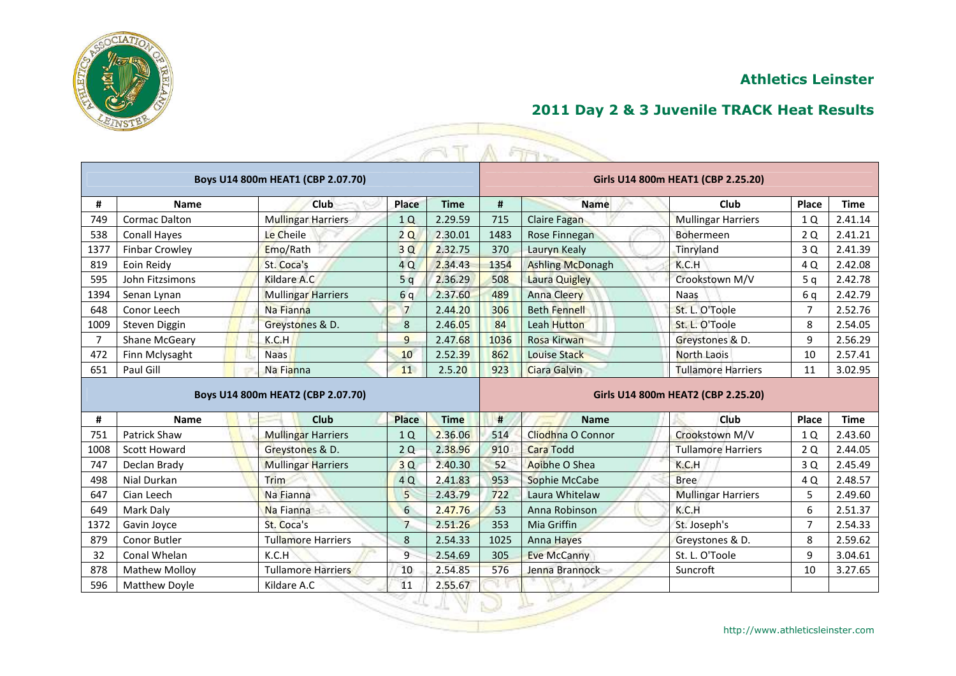



|                |                       |                                   |                 | T           |                                    | A FIFT                  |                                    |                |             |  |
|----------------|-----------------------|-----------------------------------|-----------------|-------------|------------------------------------|-------------------------|------------------------------------|----------------|-------------|--|
|                |                       | Boys U14 800m HEAT1 (CBP 2.07.70) |                 |             |                                    |                         | Girls U14 800m HEAT1 (CBP 2.25.20) |                |             |  |
| #              | <b>Name</b>           | Club                              | Place           | <b>Time</b> | #                                  | <b>Name</b>             | Club                               | Place          | <b>Time</b> |  |
| 749            | <b>Cormac Dalton</b>  | <b>Mullingar Harriers</b>         | 1 <sub>O</sub>  | 2.29.59     | 715                                | <b>Claire Fagan</b>     | <b>Mullingar Harriers</b>          | 1 Q            | 2.41.14     |  |
| 538            | <b>Conall Hayes</b>   | Le Cheile                         | 2Q              | 2.30.01     | 1483                               | Rose Finnegan           | Bohermeen                          | 2Q             | 2.41.21     |  |
| 1377           | <b>Finbar Crowley</b> | Emo/Rath                          | 3Q              | 2.32.75     | 370                                | Lauryn Kealy            | Tinryland                          | 3 Q            | 2.41.39     |  |
| 819            | Eoin Reidy            | St. Coca's                        | 4 Q             | 2.34.43     | 1354                               | <b>Ashling McDonagh</b> | K.C.H                              | 4 Q            | 2.42.08     |  |
| 595            | John Fitzsimons       | Kildare A.C                       | 5q              | 2.36.29     | 508                                | <b>Laura Quigley</b>    | Crookstown M/V                     | 5q             | 2.42.78     |  |
| 1394           | Senan Lynan           | <b>Mullingar Harriers</b>         | 6q              | 2.37.60     | 489                                | <b>Anna Cleery</b>      | <b>Naas</b>                        | 6 q            | 2.42.79     |  |
| 648            | Conor Leech           | Na Fianna                         | $7\overline{ }$ | 2.44.20     | 306                                | <b>Beth Fennell</b>     | St. L. O'Toole                     | $\overline{7}$ | 2.52.76     |  |
| 1009           | Steven Diggin         | Greystones & D.                   | 8               | 2.46.05     | 84                                 | <b>Leah Hutton</b>      | St. L. O'Toole                     | 8              | 2.54.05     |  |
| $\overline{7}$ | Shane McGeary         | K.C.H                             | 9               | 2.47.68     | 1036                               | <b>Rosa Kirwan</b>      | Greystones & D.                    | 9              | 2.56.29     |  |
| 472            | Finn Mclysaght        | <b>Naas</b>                       | 10              | 2.52.39     | 862                                | <b>Louise Stack</b>     | <b>North Laois</b>                 | 10             | 2.57.41     |  |
| 651            | Paul Gill             | Na Fianna                         | 11              | 2.5.20      | 923                                | <b>Ciara Galvin</b>     | <b>Tullamore Harriers</b>          | 11             | 3.02.95     |  |
|                |                       | Boys U14 800m HEAT2 (CBP 2.07.70) |                 |             | Girls U14 800m HEAT2 (CBP 2.25.20) |                         |                                    |                |             |  |
| #              | Name                  | <b>Club</b>                       | <b>Place</b>    | <b>Time</b> | #                                  | <b>Name</b>             | <b>Club</b>                        | Place          | <b>Time</b> |  |
| 751            | Patrick Shaw          | <b>Mullingar Harriers</b>         | 1Q              | 2.36.06     | 514                                | Cliodhna O Connor       | Crookstown M/V                     | 1 Q            | 2.43.60     |  |
| 1008           | <b>Scott Howard</b>   | Greystones & D.                   | 2Q              | 2.38.96     | 910                                | <b>Cara Todd</b>        | <b>Tullamore Harriers</b>          | 2Q             | 2.44.05     |  |
| 747            | Declan Brady          | <b>Mullingar Harriers</b>         | 3Q              | 2.40.30     | 52                                 | Aoibhe O Shea           | K.C.H                              | 3 Q            | 2.45.49     |  |
| 498            | Nial Durkan           | Trim                              | 4 Q             | 2.41.83     | 953                                | Sophie McCabe           | <b>Bree</b>                        | 4 Q            | 2.48.57     |  |
| 647            | Cian Leech            | Na Fianna                         | 5               | 2.43.79     | 722                                | Laura Whitelaw          | <b>Mullingar Harriers</b>          | 5              | 2.49.60     |  |
| 649            | Mark Daly             | Na Fianna                         | 6               | 2.47.76     | 53                                 | Anna Robinson           | K.C.H                              | 6              | 2.51.37     |  |
| 1372           | Gavin Joyce           | St. Coca's                        | $\overline{7}$  | 2.51.26     | 353                                | Mia Griffin             | St. Joseph's                       | $\overline{7}$ | 2.54.33     |  |
| 879            | Conor Butler          | <b>Tullamore Harriers</b>         | 8               | 2.54.33     | 1025                               | <b>Anna Hayes</b>       | Greystones & D.                    | 8              | 2.59.62     |  |
| 32             | Conal Whelan          | K.C.H                             | 9               | 2.54.69     | 305                                | <b>Eve McCanny</b>      | St. L. O'Toole                     | 9              | 3.04.61     |  |
| 878            | <b>Mathew Molloy</b>  | <b>Tullamore Harriers</b>         | 10              | 2.54.85     | 576                                | Jenna Brannock          | Suncroft                           | 10             | 3.27.65     |  |
| 596            | <b>Matthew Doyle</b>  | Kildare A.C                       | 11              | 2.55.67     |                                    |                         |                                    |                |             |  |

 $\mathcal{D}$   $\mathbb{F}$